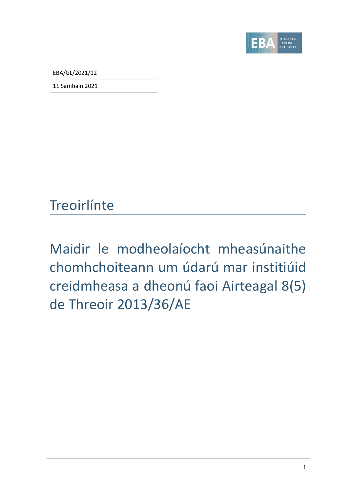

EBA/GL/2021/12

11 Samhain 2021

## **Treoirlínte**

Maidir le modheolaíocht mheasúnaithe chomhchoiteann um údarú mar institiúid creidmheasa a dheonú faoi Airteagal 8(5) de Threoir 2013/36/AE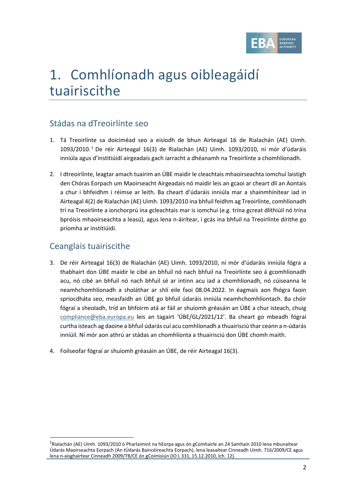

# 1. Comhlíonadh agus oibleagáidí tuairiscithe

## Stádas na dTreoirlínte seo

- 1. Tá Treoirlínte sa doiciméad seo a eisíodh de bhun Airteagal 16 de Rialachán (AE) Uimh.  $1093/2010$  $1093/2010$ .<sup>1</sup> De réir Airteagal 16(3) de Rialachán (AE) Uimh. 1093/2010, ní mór d'údaráis inniúla agus d'institiúidí airgeadais gach iarracht a dhéanamh na Treoirlínte a chomhlíonadh.
- 2. I dtreoirlínte, leagtar amach tuairim an ÚBE maidir le cleachtais mhaoirseachta iomchuí laistigh den Chóras Eorpach um Maoirseacht Airgeadais nó maidir leis an gcaoi ar cheart dlí an Aontais a chur i bhfeidhm i réimse ar leith. Ba cheart d'údaráis inniúla mar a shainmhínítear iad in Airteagal 4(2) de Rialachán (AE) Uimh. 1093/2010 ina bhfuil feidhm ag Treoirlínte, comhlíonadh trí na Treoirlínte a ionchorprú ina gcleachtais mar is iomchuí (e.g. trína gcreat dlíthiúil nó trína bpróisis mhaoirseachta a leasú), agus lena n-áirítear, i gcás ina bhfuil na Treoirlínte dírithe go príomha ar institiúidí.

### Ceanglais tuairiscithe

- 3. De réir Airteagal 16(3) de Rialachán (AE) Uimh. 1093/2010, ní mór d'údaráis inniúla fógra a thabhairt don ÚBE maidir le cibé an bhfuil nó nach bhfuil na Treoirlínte seo á gcomhlíonadh acu, nó cibé an bhfuil nó nach bhfuil sé ar intinn acu iad a chomhlíonadh, nó cúiseanna le neamhchomhlíonadh a sholáthar ar shlí eile faoi 08.04.2022. In éagmais aon fhógra faoin spriocdháta seo, measfaidh an ÚBE go bhfuil údaráis inniúla neamhchomhlíontach. Ba chóir fógraí a sheoladh, tríd an bhfoirm atá ar fáil ar shuíomh gréasáin an ÚBE a chur isteach, chuig [compliance@eba.europa.eu](mailto:compliance@eba.europa.eu) leis an tagairt 'ÚBE/GL/2021/12'. Ba cheart go mbeadh fógraí curtha isteach ag daoine a bhfuil údarás cuí acu comhlíonadh a thuairisciú thar ceann a n-údarás inniúil. Ní mór aon athrú ar stádas an chomhlíonta a thuairisciú don ÚBE chomh maith.
- 4. Foilseofar fógraí ar shuíomh gréasáin an ÚBE, de réir Airteagal 16(3).

<span id="page-1-0"></span><sup>&</sup>lt;sup>1</sup>Rialachán (AE) Uimh. 1093/2010 ó Pharlaimint na hEorpa agus ón gComhairle an 24 Samhain 2010 lena mbunaítear Údarás Maoirseachta Eorpach (An tÚdarás Baincéireachta Eorpach), lena leasaítear Cinneadh Uimh. 716/2009/CE agus lena n-aisghairtear Cinneadh 2009/78/CE ón gCoimisiún (IO L 331, 15.12.2010, lch. 12).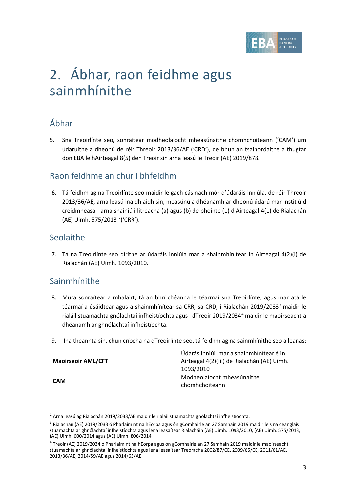

# 2. Ábhar, raon feidhme agus sainmhínithe

## Ábhar

5. Sna Treoirlínte seo, sonraítear modheolaíocht mheasúnaithe chomhchoiteann ('CAM') um údaruithe a dheonú de réir Threoir 2013/36/AE ('CRD'), de bhun an tsainordaithe a thugtar don EBA le hAirteagal 8(5) den Treoir sin arna leasú le Treoir (AE) 2019/878.

### Raon feidhme an chur i bhfeidhm

6. Tá feidhm ag na Treoirlínte seo maidir le gach cás nach mór d'údaráis inniúla, de réir Threoir 2013/36/AE, arna leasú ina dhiaidh sin, measúnú a dhéanamh ar dheonú údarú mar institiúid creidmheasa - arna shainiú i litreacha (a) agus (b) de phointe (1) d'Airteagal 4(1) de Rialachán (AE) Uimh. 575/[2](#page-2-0)013<sup>2</sup> ('CRR').

### Seolaithe

7. Tá na Treoirlínte seo dírithe ar údaráis inniúla mar a shainmhínítear in Airteagal 4(2)(i) de Rialachán (AE) Uimh. 1093/2010.

## Sainmhínithe

- 8. Mura sonraítear a mhalairt, tá an bhrí chéanna le téarmaí sna Treoirlínte, agus mar atá le téarmaí a úsáidtear agus a shainmhínítear sa CRR, sa CRD, i Rialachán 2019/20[3](#page-2-1)3<sup>3</sup> maidir le rialáil stuamachta gnólachtaí infheistíochta agus i dTreoir 2019/203[4](#page-2-2)<sup>4</sup> maidir le maoirseacht a dhéanamh ar ghnólachtaí infheistíochta.
- 9. Ina theannta sin, chun críocha na dTreoirlínte seo, tá feidhm ag na sainmhínithe seo a leanas:

| <b>Maoirseoir AML/CFT</b> | Údarás inniúil mar a shainmhínítear é in    |
|---------------------------|---------------------------------------------|
|                           | Airteagal 4(2)(iii) de Rialachán (AE) Uimh. |
|                           | 1093/2010                                   |
|                           | Modheolaíocht mheasúnaithe                  |
| <b>CAM</b>                | chomhchoiteann                              |

<span id="page-2-0"></span><sup>&</sup>lt;sup>2</sup> Arna leasú ag Rialachán 2019/2033/AE maidir le rialáil stuamachta gnólachtaí infheistíochta.

<span id="page-2-1"></span><sup>3</sup> Rialachán (AE) 2019/2033 ó Pharlaimint na hEorpa agus ón gComhairle an 27 Samhain 2019 maidir leis na ceanglais stuamachta ar ghnólachtaí infheistíochta agus lena leasaítear Rialacháin (AE) Uimh. 1093/2010, (AE) Uimh. 575/2013, (AE) Uimh. 600/2014 agus (AE) Uimh. 806/2014

<span id="page-2-2"></span><sup>4</sup> Treoir (AE) 2019/2034 ó Pharlaimint na hEorpa agus ón gComhairle an 27 Samhain 2019 maidir le maoirseacht stuamachta ar ghnólachtaí infheistíochta agus lena leasaítear Treoracha 2002/87/CE, 2009/65/CE, 2011/61/AE, 2013/36/AE, 2014/59/AE agus 2014/65/AE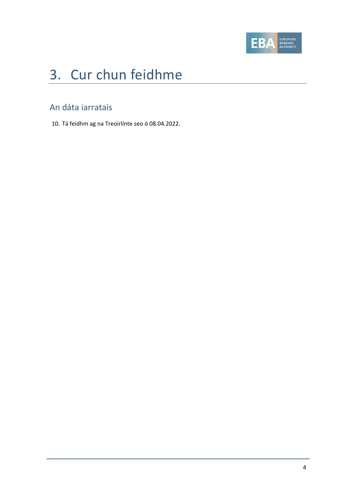

# 3. Cur chun feidhme

## An dáta iarratais

10. Tá feidhm ag na Treoirlínte seo ó 08.04.2022.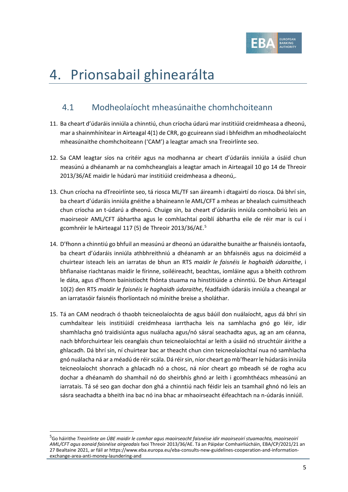

# 4. Prionsabail ghinearálta

## 4.1 Modheolaíocht mheasúnaithe chomhchoiteann

- 11. Ba cheart d'údaráis inniúla a chinntiú, chun críocha údarú mar institiúid creidmheasa a dheonú, mar a shainmhínítear in Airteagal 4(1) de CRR, go gcuireann siad i bhfeidhm an mhodheolaíocht mheasúnaithe chomhchoiteann ('CAM') a leagtar amach sna Treoirlínte seo.
- 12. Sa CAM leagtar síos na critéir agus na modhanna ar cheart d'údaráis inniúla a úsáid chun measúnú a dhéanamh ar na comhcheanglais a leagtar amach in Airteagail 10 go 14 de Threoir 2013/36/AE maidir le húdarú mar institiúid creidmheasa a dheonú,.
- <span id="page-4-1"></span>13. Chun críocha na dTreoirlínte seo, tá riosca ML/TF san áireamh i dtagairtí do riosca. Dá bhrí sin, ba cheart d'údaráis inniúla gnéithe a bhaineann le AML/CFT a mheas ar bhealach cuimsitheach chun críocha an t-údarú a dheonú. Chuige sin, ba cheart d'údaráis inniúla comhoibriú leis an maoirseoir AML/CFT ábhartha agus le comhlachtaí poiblí ábhartha eile de réir mar is cuí i gcomhréir le hAirteagal 117 ([5](#page-4-0)) de Threoir 2013/36/AE.<sup>5</sup>
- 14. D'fhonn a chinntiú go bhfuil an measúnú ar dheonú an údaraithe bunaithe ar fhaisnéis iontaofa, ba cheart d'údaráis inniúla athbhreithniú a dhéanamh ar an bhfaisnéis agus na doiciméid a chuirtear isteach leis an iarratas de bhun an RTS *maidir le faisnéis le haghaidh údaraithe*, i bhfianaise riachtanas maidir le fírinne, soiléireacht, beachtas, iomláine agus a bheith cothrom le dáta, agus d'fhonn bainistíocht fhónta stuama na hinstitiúide a chinntiú. De bhun Airteagal 10(2) den RTS *maidir le faisnéis le haghaidh údaraithe*, féadfaidh údaráis inniúla a cheangal ar an iarratasóir faisnéis fhorlíontach nó mínithe breise a sholáthar.
- <span id="page-4-2"></span>15. Tá an CAM neodrach ó thaobh teicneolaíochta de agus báúil don nuálaíocht, agus dá bhrí sin cumhdaítear leis institiúidí creidmheasa iarrthacha leis na samhlacha gnó go léir, idir shamhlacha gnó traidisiúnta agus nuálacha agus/nó sásraí seachadta agus, ag an am céanna, nach bhforchuirtear leis ceanglais chun teicneolaíochtaí ar leith a úsáid nó struchtúir áirithe a ghlacadh. Dá bhrí sin, ní chuirtear bac ar theacht chun cinn teicneolaíochtaí nua nó samhlacha gnó nuálacha ná ar a méadú de réir scála. Dá réir sin, níor cheart go mb'fhearr le húdaráis inniúla teicneolaíocht shonrach a ghlacadh nó a chosc, ná níor cheart go mbeadh sé de rogha acu dochar a dhéanamh do shamhail nó do sheirbhís ghnó ar leith i gcomhthéacs mheasúnú an iarratais. Tá sé seo gan dochar don ghá a chinntiú nach féidir leis an tsamhail ghnó nó leis an sásra seachadta a bheith ina bac nó ina bhac ar mhaoirseacht éifeachtach na n-údarás inniúil.

<span id="page-4-0"></span><sup>&</sup>lt;sup>5</sup>Go háirithe *Treoirlínte an ÚBE maidir le comhar agus maoirseacht faisnéise idir maoirseoirí stuamachta, maoirseoirí AML/CFT agus aonaid faisnéise airgeadais* faoi Threoir 2013/36/AE. Tá an Páipéar Comhairliúcháin, EBA/CP/2021/21 an 27 Bealtaine 2021, ar fáil ar https://www.eba.europa.eu/eba-consults-new-guidelines-cooperation-and-informationexchange-area-anti-money-laundering-and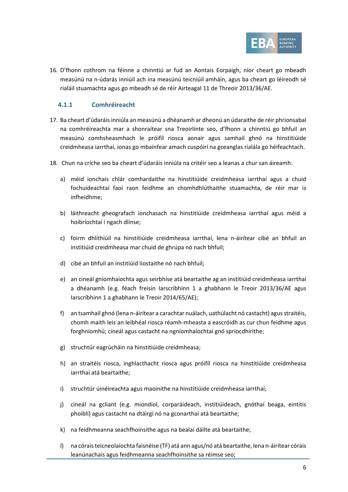

<span id="page-5-1"></span>16. D'fhonn cothrom na féinne a chinntiú ar fud an Aontais Eorpaigh, níor cheart go mbeadh measúnú na n-údarás inniúil ach ina measúnú teicniúil amháin, agus ba cheart go léireodh sé rialáil stuamachta agus go mbeadh sé de réir Airteagal 11 de Threoir 2013/36/AE.

#### **4.1.1 Comhréireacht**

- <span id="page-5-2"></span>17. Ba cheart d'údaráis inniúla an measúnú a dhéanamh ar dheonú an údaraithe de réir phrionsabal na comhréireachta mar a shonraítear sna Treoirlínte seo, d'fhonn a chinntiú go bhfuil an measúnú comhsheasmhach le próifíl riosca aonair agus samhail ghnó na hinstitiúide creidmheasa iarrthaí, ionas go mbainfear amach cuspóirí na gceanglas rialála go héifeachtach.
- <span id="page-5-0"></span>18. Chun na críche seo ba cheart d'údaráis inniúla na critéir seo a leanas a chur san áireamh:
	- a) méid ionchais chlár comhardaithe na hinstitiúide creidmheasa iarrthaí agus a chuid fochuideachtaí faoi raon feidhme an chomhdhlúthaithe stuamachta, de réir mar is infheidhme;
	- b) láithreacht gheografach ionchasach na hinstitiúide creidmheasa iarrthaí agus méid a hoibríochtaí i ngach dlínse;
	- c) foirm dhlíthiúil na hinstitiúide creidmheasa iarrthaí, lena n-áirítear cibé an bhfuil an institiúid creidmheasa mar chuid de ghrúpa nó nach bhfuil;
	- d) cibé an bhfuil an institiúid liostaithe nó nach bhfuil;
	- e) an cineál gníomhaíochta agus seirbhíse atá beartaithe ag an institiúid creidmheasa iarrthaí a dhéanamh (e.g. féach freisin Iarscríbhinn 1 a ghabhann le Treoir 2013/36/AE agus Iarscríbhinn 1 a ghabhann le Treoir 2014/65/AE);
	- f) an tsamhail ghnó (lena n-áirítear a carachtar nuálach, uathúlacht nó castacht) agus straitéis, chomh maith leis an leibhéal riosca réamh-mheasta a eascróidh as cur chun feidhme agus forghníomhú; cineál agus castacht na ngníomhaíochtaí gnó spriocdhírithe;
	- g) struchtúr eagrúcháin na hinstitiúide creidmheasa;
	- h) an straitéis riosca, inghlacthacht riosca agus próifíl riosca na hinstitiúide creidmheasa iarrthaí atá beartaithe;
	- i) struchtúr úinéireachta agus maoinithe na hinstitiúide creidmheasa iarrthaí;
	- j) cineál na gcliant (e.g. miondíol, corparáideach, institiúideach, gnóthaí beaga, eintitis phoiblí) agus castacht na dtáirgí nó na gconarthaí atá beartaithe;
	- k) na feidhmeanna seachfhoinsithe agus na bealaí dáilte atá beartaithe;
	- l) na córais teicneolaíochta faisnéise (TF) atá ann agus/nó atá beartaithe, lena n-áirítear córais leanúnachais agus feidhmeanna seachfhoinsithe sa réimse seo;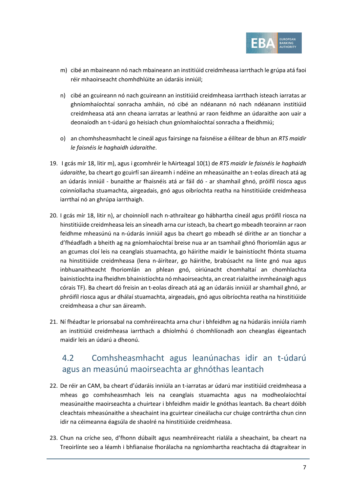

- <span id="page-6-0"></span>m) cibé an mbaineann nó nach mbaineann an institiúid creidmheasa iarrthach le grúpa atá faoi réir mhaoirseacht chomhdhlúite an údaráis inniúil;
- <span id="page-6-1"></span>n) cibé an gcuireann nó nach gcuireann an institiúid creidmheasa iarrthach isteach iarratas ar ghníomhaíochtaí sonracha amháin, nó cibé an ndéanann nó nach ndéanann institiúid creidmheasa atá ann cheana iarratas ar leathnú ar raon feidhme an údaraithe aon uair a deonaíodh an t-údarú go heisiach chun gníomhaíochtaí sonracha a fheidhmiú;
- o) an chomhsheasmhacht le cineál agus fairsinge na faisnéise a éilítear de bhun an *RTS maidir le faisnéis le haghaidh údaraithe*.
- 19. I gcás mír [18,](#page-5-0) litir [m\),](#page-6-0) agus i gcomhréir le hAirteagal 10(1) de *RTS maidir le faisnéis le haghaidh údaraithe*, ba cheart go gcuirfí san áireamh i ndéine an mheasúnaithe an t-eolas díreach atá ag an údarás inniúil - bunaithe ar fhaisnéis atá ar fáil dó - ar shamhail ghnó, próifíl riosca agus coinníollacha stuamachta, airgeadais, gnó agus oibríochta reatha na hinstitiúide creidmheasa iarrthaí nó an ghrúpa iarrthaigh.
- <span id="page-6-2"></span>20. I gcás mír [18,](#page-5-0) litir [n\),](#page-6-1) ar choinníoll nach n-athraítear go hábhartha cineál agus próifíl riosca na hinstitiúide creidmheasa leis an síneadh arna cur isteach, ba cheart go mbeadh teorainn ar raon feidhme mheasúnú na n-údarás inniúil agus ba cheart go mbeadh sé dírithe ar an tionchar a d'fhéadfadh a bheith ag na gníomhaíochtaí breise nua ar an tsamhail ghnó fhoriomlán agus ar an gcumas cloí leis na ceanglais stuamachta, go háirithe maidir le bainistíocht fhónta stuama na hinstitiúide creidmheasa (lena n-áirítear, go háirithe, brabúsacht na línte gnó nua agus inbhuanaitheacht fhoriomlán an phlean gnó, oiriúnacht chomhaltaí an chomhlachta bainistíochta ina fheidhm bhainistíochta nó mhaoirseachta, an creat rialaithe inmheánaigh agus córais TF). Ba cheart dó freisin an t-eolas díreach atá ag an údaráis inniúil ar shamhail ghnó, ar phróifíl riosca agus ar dhálaí stuamachta, airgeadais, gnó agus oibríochta reatha na hinstitiúide creidmheasa a chur san áireamh.
- <span id="page-6-4"></span>21. Ní fhéadtar le prionsabal na comhréireachta arna chur i bhfeidhm ag na húdaráis inniúla riamh an institiúid creidmheasa iarrthach a dhíolmhú ó chomhlíonadh aon cheanglas éigeantach maidir leis an údarú a dheonú.

## <span id="page-6-3"></span>4.2 Comhsheasmhacht agus leanúnachas idir an t-údarú agus an measúnú maoirseachta ar ghnóthas leantach

- 22. De réir an CAM, ba cheart d'údaráis inniúla an t-iarratas ar údarú mar institiúid creidmheasa a mheas go comhsheasmhach leis na ceanglais stuamachta agus na modheolaíochtaí measúnaithe maoirseachta a chuirtear i bhfeidhm maidir le gnóthas leantach. Ba cheart dóibh cleachtais mheasúnaithe a sheachaint ina gcuirtear cineálacha cur chuige contrártha chun cinn idir na céimeanna éagsúla de shaolré na hinstitiúide creidmheasa.
- 23. Chun na críche seo, d'fhonn dúbailt agus neamhréireacht rialála a sheachaint, ba cheart na Treoirlínte seo a léamh i bhfianaise fhorálacha na ngníomhartha reachtacha dá dtagraítear in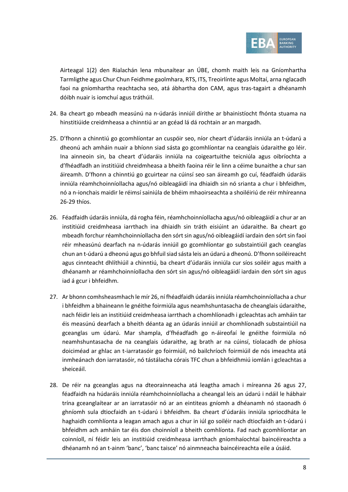

Airteagal 1(2) den Rialachán lena mbunaítear an ÚBE, chomh maith leis na Gníomhartha Tarmligthe agus Chur Chun Feidhme gaolmhara, RTS, ITS, Treoirlínte agus Moltaí, arna nglacadh faoi na gníomhartha reachtacha seo, atá ábhartha don CAM, agus tras-tagairt a dhéanamh dóibh nuair is iomchuí agus tráthúil.

- 24. Ba cheart go mbeadh measúnú na n-údarás inniúil dírithe ar bhainistíocht fhónta stuama na hinstitiúide creidmheasa a chinntiú ar an gcéad lá dá rochtain ar an margadh.
- <span id="page-7-2"></span>25. D'fhonn a chinntiú go gcomhlíontar an cuspóir seo, níor cheart d'údaráis inniúla an t-údarú a dheonú ach amháin nuair a bhíonn siad sásta go gcomhlíontar na ceanglais údaraithe go léir. Ina ainneoin sin, ba cheart d'údaráis inniúla na coigeartuithe teicniúla agus oibríochta a d'fhéadfadh an institiúid chreidmheasa a bheith faoina réir le linn a céime bunaithe a chur san áireamh. D'fhonn a chinntiú go gcuirtear na cúinsí seo san áireamh go cuí, féadfaidh údaráis inniúla réamhchoinníollacha agus/nó oibleagáidí ina dhiaidh sin nó srianta a chur i bhfeidhm, nó a n-ionchais maidir le réimsí sainiúla de bhéim mhaoirseachta a shoiléiriú de réir mhíreanna [26](#page-7-0)[-29](#page-8-0) thíos.
- <span id="page-7-0"></span>26. Féadfaidh údaráis inniúla, dá rogha féin, réamhchoinníollacha agus/nó oibleagáidí a chur ar an institiúid creidmheasa iarrthach ina dhiaidh sin tráth eisiúint an údaraithe. Ba cheart go mbeadh forchur réamhchoinníollacha den sórt sin agus/nó oibleagáidí iardain den sórt sin faoi réir mheasúnú dearfach na n-údarás inniúil go gcomhlíontar go substaintiúil gach ceanglas chun an t-údarú a dheonú agus go bhfuil siad sásta leis an údarú a dheonú. D'fhonn soiléireacht agus cinnteacht dhlíthiúil a chinntiú, ba cheart d'údaráis inniúla cur síos soiléir agus maith a dhéanamh ar réamhchoinníollacha den sórt sin agus/nó oibleagáidí iardain den sórt sin agus iad á gcur i bhfeidhm.
- <span id="page-7-1"></span>27. Ar bhonn comhsheasmhach le mí[r 26,](#page-7-0) ní fhéadfaidh údaráis inniúla réamhchoinníollacha a chur i bhfeidhm a bhaineann le gnéithe foirmiúla agus neamhshuntasacha de cheanglais údaraithe, nach féidir leis an institiúid creidmheasa iarrthach a chomhlíonadh i gcleachtas ach amháin tar éis measúnú dearfach a bheith déanta ag an údarás inniúil ar chomhlíonadh substaintiúil na gceanglas um údarú. Mar shampla, d'fhéadfadh go n-áireofaí le gnéithe foirmiúla nó neamhshuntasacha de na ceanglais údaraithe, ag brath ar na cúinsí, tíolacadh de phíosa doiciméad ar ghlac an t-iarratasóir go foirmiúil, nó bailchríoch foirmiúil de nós imeachta atá inmheánach don iarratasóir, nó tástálacha córais TFC chun a bhfeidhmiú iomlán i gcleachtas a sheiceáil.
- 28. De réir na gceanglas agus na dteorainneacha atá leagtha amach i míreanna [26](#page-7-0) agus [27,](#page-7-1) féadfaidh na húdaráis inniúla réamhchoinníollacha a cheangal leis an údarú i ndáil le hábhair trína gceanglaítear ar an iarratasóir nó ar an eintiteas gníomh a dhéanamh nó staonadh ó ghníomh sula dtiocfaidh an t-údarú i bhfeidhm. Ba cheart d'údaráis inniúla spriocdháta le haghaidh comhlíonta a leagan amach agus a chur in iúl go soiléir nach dtiocfaidh an t-údarú i bhfeidhm ach amháin tar éis don choinníoll a bheith comhlíonta. Fad nach gcomhlíontar an coinníoll, ní féidir leis an institiúid creidmheasa iarrthach gníomhaíochtaí baincéireachta a dhéanamh nó an t-ainm 'banc', 'banc taisce' nó ainmneacha baincéireachta eile a úsáid.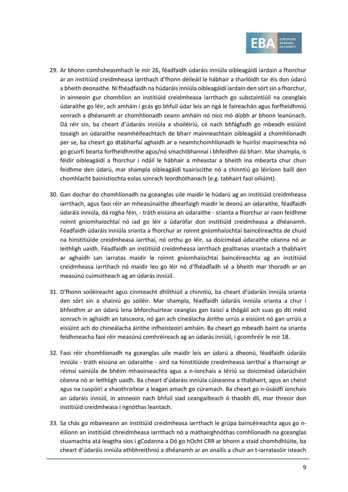

- <span id="page-8-0"></span>29. Ar bhonn comhsheasmhach le mír [26,](#page-7-0) féadfaidh údaráis inniúla oibleagáidí iardain a fhorchur ar an institiúid creidmheasa iarrthach d'fhonn déileáil le hábhair a tharlóidh tar éis don údarú a bheith deonaithe. Ní fhéadfaidh na húdaráis inniúla oibleagáidí iardain den sórt sin a fhorchur, in ainneoin gur chomhlíon an institiúid creidmheasa iarrthach go substaintiúil na ceanglais údaraithe go léir, ach amháin i gcás go bhfuil údar leis an ngá le faireachán agus forfheidhmiú sonrach a dhéanamh ar chomhlíonadh ceann amháin nó níos mó díobh ar bhonn leanúnach. Dá réir sin, ba cheart d'údaráis inniúla a shoiléiriú, cé nach bhfágfadh go mbeadh eisiúint tosaigh an údaraithe neamhéifeachtach de bharr mainneachtain oibleagáid a chomhlíonadh per se, ba cheart go dtabharfaí aghaidh ar a neamhchomhlíonadh le huirlisí maoirseachta nó go gcuirfí bearta forfheidhmithe agus/nó smachtbhannaí i bhfeidhm dá bharr. Mar shampla, is féidir oibleagáidí a fhorchur i ndáil le hábhair a mheastar a bheith ina mbearta chur chun feidhme den údarú, mar shampla oibleagáidí tuairiscithe nó a chinntiú go léiríonn baill den chomhlacht bainistíochta eolas sonrach leordhóthanach (e.g. tabhairt faoi oiliúint).
- 30. Gan dochar do chomhlíonadh na gceanglas uile maidir le húdarú ag an institiúid creidmheasa iarrthach, agus faoi réir an mheasúnaithe dhearfaigh maidir le deonú an údaraithe, féadfaidh údaráis inniúla, dá rogha féin, - tráth eisiúna an údaraithe - srianta a fhorchur ar raon feidhme roinnt gníomhaíochtaí nó iad go léir a údarófar don institiúid creidmheasa a dhéanamh. Féadfaidh údaráis inniúla srianta a fhorchur ar roinnt gníomhaíochtaí baincéireachta de chuid na hinstitiúide creidmheasa iarrthaí, nó orthu go léir, sa doiciméad údaraithe céanna nó ar leithligh uaidh. Féadfaidh an institiúid creidmheasa iarrthach gealltanas sriantach a thabhairt ar aghaidh san iarratas maidir le roinnt gníomhaíochtaí baincéireachta ag an institiúid creidmheasa iarrthach nó maidir leo go léir nó d'fhéadfadh sé a bheith mar thoradh ar an measúnú cuimsitheach ag an údarás inniúil.
- 31. D'fhonn soiléireacht agus cinnteacht dhlíthiúil a chinntiú, ba cheart d'údaráis inniúla srianta den sórt sin a shainiú go soiléir. Mar shampla, féadfaidh údaráis inniúla srianta a chur i bhfeidhm ar an údarú lena bhforchuirtear ceanglas gan taiscí a thógáil ach suas go dtí méid sonrach in aghaidh an taisceora, nó gan ach cineálacha áirithe urrús a eisiúint nó gan urrúis a eisiúint ach do chineálacha áirithe infheisteoirí amháin. Ba cheart go mbeadh baint na srianta feidhmeacha faoi réir measúnú comhréireach ag an údarás inniúil, i gcomhréir le mír [18.](#page-5-0)
- <span id="page-8-1"></span>32. Faoi réir chomhlíonadh na gceanglas uile maidir leis an údarú a dheonú, féadfaidh údaráis inniúla - tráth eisiúna an údaraithe - aird na hinstitiúide creidmheasa iarrthaí a tharraingt ar réimsí sainiúla de bhéim mhaoirseachta agus a n-ionchais a léiriú sa doiciméad údarúcháin céanna nó ar leithligh uaidh. Ba cheart d'údaráis inniúla cúiseanna a thabhairt, agus an cheist agus na cuspóirí a shaothraítear a leagan amach go cúramach. Ba cheart go n-úsáidfí ionchais an údaráis inniúil, in ainneoin nach bhfuil siad ceangailteach ó thaobh dlí, mar threoir don institiúid creidmheasa i ngnóthas leantach.
- 33. Sa chás go mbaineann an institiúid creidmheasa iarrthach le grúpa baincéireachta agus go néilíonn an institiúid chreidmheasa iarrthach nó a máthairghnóthas comhlíonadh na gceanglas stuamachta atá leagtha síos i gCodanna a Dó go hOcht CRR ar bhonn a staid chomhdhlúite, ba cheart d'údaráis inniúla athbhreithniú a dhéanamh ar an anailís a chuir an t-iarratasóir isteach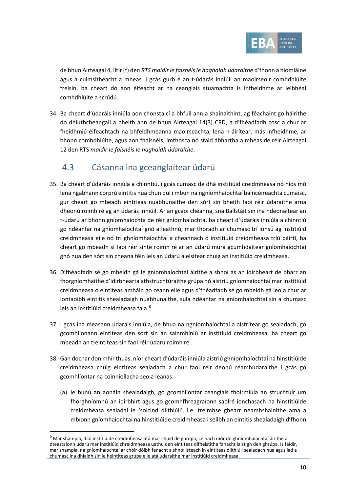

<span id="page-9-1"></span>de bhun Airteagal 4, litir (f) den *RTS maidir le faisnéis le haghaidh údaraithe* d'fhonn a hiomláine agus a cuimsitheacht a mheas. I gcás gurb é an t-údarás inniúil an maoirseoir comhdhlúite freisin, ba cheart dó aon éifeacht ar na ceanglais stuamachta is infheidhme ar leibhéal comhdhlúite a scrúdú.

34. Ba cheart d'údaráis inniúla aon chonstaicí a bhfuil ann a shainaithint, ag féachaint go háirithe do dhlúthcheangail a bheith ann de bhun Airteagal 14(3) CRD, a d'fhéadfadh cosc a chur ar fheidhmiú éifeachtach na bhfeidhmeanna maoirseachta, lena n-áirítear, más infheidhme, ar bhonn comhdhlúite, agus aon fhaisnéis, imthosca nó staid ábhartha a mheas de réir Airteagal 12 den RTS *maidir le faisnéis le haghaidh údaraithe*.

### 4.3 Cásanna ina gceanglaítear údarú

- 35. Ba cheart d'údaráis inniúla a chinntiú, i gcás cumasc de dhá institiúid creidmheasa nó níos mó lena ngabhann corprú eintitis nua chun dul i mbun na ngníomhaíochtaí baincéireachta cumaisc, gur cheart go mbeadh eintiteas nuabhunaithe den sórt sin bheith faoi réir údaraithe arna dheonú roimh ré ag an údarás inniúil. Ar an gcaoi chéanna, sna Ballstáit sin ina ndeonaítear an t-údarú ar bhonn gníomhaíochta de réir gníomhaíochta, ba cheart d'údaráis inniúla a chinntiú go ndéanfar na gníomhaíochtaí gnó a leathnú, mar thoradh ar chumasc trí ionsú ag institiúid creidmheasa eile nó trí ghníomhaíochtaí a cheannach ó institiúid creidmheasa tríú páirtí, ba cheart go mbeadh sí faoi réir sínte roimh ré ar an údarú mura gcumhdaítear gníomhaíochtaí gnó nua den sórt sin cheana féin leis an údarú a eisítear chuig an institiúid creidmheasa.
- 36. D'fhéadfadh sé go mbeidh gá le gníomhaíochtaí áirithe a shnoí as an idirbheart de bharr an fhorgníomhaithe d'idirbhearta athstruchtúraithe grúpa nó aistriú gníomhaíochtaí mar institiúid creidmheasa ó eintiteas amháin go ceann eile agus d'fhéadfadh sé go mbeidh gá leo a chur ar iontaoibh eintitis shealadaigh nuabhunaithe, sula ndéantar na gníomhaíochtaí sin a chumasc leis an institiúid creidmheasa fála.<sup>[6](#page-9-0)</sup>
- 37. I gcás ina measann údaráis inniúla, de bhua na ngníomhaíochtaí a aistrítear go sealadach, go gcomhlíonann eintiteas den sórt sin an sainmhíniú ar institiúid creidmheasa, ba cheart go mbeadh an t-eintiteas sin faoi réir údarú roimh ré.
- 38. Gan dochar don mhír thuas, níor cheart d'údaráis inniúla aistriú ghníomhaíochtaí na hinstitiúide creidmheasa chuig eintiteas sealadach a chur faoi réir deonú réamhúdaraithe i gcás go gcomhlíontar na coinníollacha seo a leanas:
	- (a) le bunú an aonáin shealadaigh, go gcomhlíontar ceanglais fhoirmiúla an struchtúir um fhorghníomhú an idirbhirt agus go gcomhfhreagraíonn saolré ionchasach na hinstitiúide creidmheasa sealadaí le 'soicind dlíthiúil', i.e. tréimhse ghearr neamhshainithe ama a mbíonn gníomhaíochtaí na hinstitiúide creidmheasa i seilbh an eintitis shealadaigh d'fhonn

<span id="page-9-0"></span> $^6$  Mar shampla, díol institiúide creidmheasa atá mar chuid de ghrúpa, cé nach mór do ghníomhaíochtaí áirithe a dteastaíonn údarú mar institiúid chreidmheasa uathu den eintiteas dífheistithe fanacht laistigh den ghrúpa. Is féidir, mar shampla, na gníomhaíochtaí ar chóir dóibh fanacht a shnoí isteach in eintiteas dlíthiúil sealadach nua agus iad a chumasc ina dhiaidh sin le heintiteas grúpa eile atá údaraithe mar institiúid creidmheasa.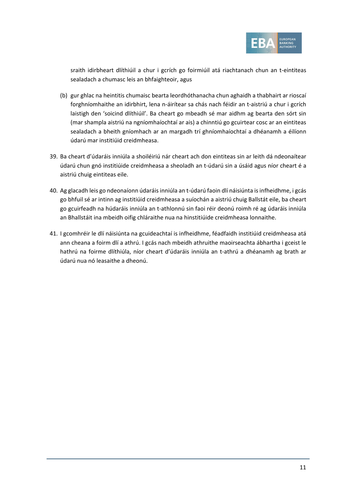

sraith idirbheart dlíthiúil a chur i gcrích go foirmiúil atá riachtanach chun an t-eintiteas sealadach a chumasc leis an bhfaighteoir, agus

- (b) gur ghlac na heintitis chumaisc bearta leordhóthanacha chun aghaidh a thabhairt ar rioscaí forghníomhaithe an idirbhirt, lena n-áirítear sa chás nach féidir an t-aistriú a chur i gcrích laistigh den 'soicind dlíthiúil'. Ba cheart go mbeadh sé mar aidhm ag bearta den sórt sin (mar shampla aistriú na ngníomhaíochtaí ar ais) a chinntiú go gcuirtear cosc ar an eintiteas sealadach a bheith gníomhach ar an margadh trí ghníomhaíochtaí a dhéanamh a éilíonn údarú mar institiúid creidmheasa.
- 39. Ba cheart d'údaráis inniúla a shoiléiriú nár cheart ach don eintiteas sin ar leith dá ndeonaítear údarú chun gnó institiúide creidmheasa a sheoladh an t-údarú sin a úsáid agus níor cheart é a aistriú chuig eintiteas eile.
- 40. Ag glacadh leis go ndeonaíonn údaráis inniúla an t-údarú faoin dlí náisiúnta is infheidhme, i gcás go bhfuil sé ar intinn ag institiúid creidmheasa a suíochán a aistriú chuig Ballstát eile, ba cheart go gcuirfeadh na húdaráis inniúla an t-athlonnú sin faoi réir deonú roimh ré ag údaráis inniúla an Bhallstáit ina mbeidh oifig chláraithe nua na hinstitiúide creidmheasa lonnaithe.
- 41. I gcomhréir le dlí náisiúnta na gcuideachtaí is infheidhme, féadfaidh institiúid creidmheasa atá ann cheana a foirm dlí a athrú. I gcás nach mbeidh athruithe maoirseachta ábhartha i gceist le hathrú na foirme dlíthiúla, níor cheart d'údaráis inniúla an t-athrú a dhéanamh ag brath ar údarú nua nó leasaithe a dheonú.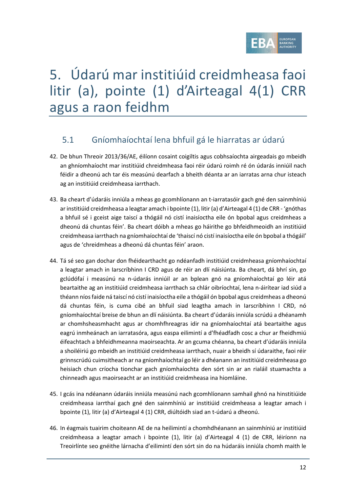

# 5. Údarú mar institiúid creidmheasa faoi litir (a), pointe (1) d'Airteagal 4(1) CRR agus a raon feidhm

## 5.1 Gníomhaíochtaí lena bhfuil gá le hiarratas ar údarú

- 42. De bhun Threoir 2013/36/AE, éilíonn cosaint coigiltis agus cobhsaíochta airgeadais go mbeidh an ghníomhaíocht mar institiúid chreidmheasa faoi réir údarú roimh ré ón údarás inniúil nach féidir a dheonú ach tar éis measúnú dearfach a bheith déanta ar an iarratas arna chur isteach ag an institiúid creidmheasa iarrthach.
- 43. Ba cheart d'údaráis inniúla a mheas go gcomhlíonann an t-iarratasóir gach gné den sainmhíniú ar institiúid creidmheasa a leagtar amach i bpointe (1), litir (a) d'Airteagal 4 (1) de CRR - 'gnóthas a bhfuil sé i gceist aige taiscí a thógáil nó cistí inaisíoctha eile ón bpobal agus creidmheas a dheonú dá chuntas féin'. Ba cheart dóibh a mheas go háirithe go bhfeidhmeoidh an institiúid creidmheasa iarrthach na gníomhaíochtaí de 'thaiscí nó cistí inaisíoctha eile ón bpobal a thógáil' agus de 'chreidmheas a dheonú dá chuntas féin' araon.
- 44. Tá sé seo gan dochar don fhéidearthacht go ndéanfadh institiúid creidmheasa gníomhaíochtaí a leagtar amach in Iarscríbhinn I CRD agus de réir an dlí náisiúnta. Ba cheart, dá bhrí sin, go gclúdófaí i measúnú na n-údarás inniúil ar an bplean gnó na gníomhaíochtaí go léir atá beartaithe ag an institiúid creidmheasa iarrthach sa chlár oibríochtaí, lena n-áirítear iad siúd a théann níos faide ná taiscí nó cistí inaisíoctha eile a thógáil ón bpobal agus creidmheas a dheonú dá chuntas féin, is cuma cibé an bhfuil siad leagtha amach in Iarscríbhinn I CRD, nó gníomhaíochtaí breise de bhun an dlí náisiúnta. Ba cheart d'údaráis inniúla scrúdú a dhéanamh ar chomhsheasmhacht agus ar chomhfhreagras idir na gníomhaíochtaí atá beartaithe agus eagrú inmheánach an iarratasóra, agus easpa eilimintí a d'fhéadfadh cosc a chur ar fheidhmiú éifeachtach a bhfeidhmeanna maoirseachta. Ar an gcuma chéanna, ba cheart d'údaráis inniúla a shoiléiriú go mbeidh an institiúid creidmheasa iarrthach, nuair a bheidh sí údaraithe, faoi réir grinnscrúdú cuimsitheach ar na gníomhaíochtaí go léir a dhéanann an institiúid creidmheasa go heisiach chun críocha tionchar gach gníomhaíochta den sórt sin ar an rialáil stuamachta a chinneadh agus maoirseacht ar an institiúid creidmheasa ina hiomláine.
- 45. I gcás ina ndéanann údaráis inniúla measúnú nach gcomhlíonann samhail ghnó na hinstitiúide creidmheasa iarrthaí gach gné den sainmhíniú ar institiúid creidmheasa a leagtar amach i bpointe (1), litir (a) d'Airteagal 4 (1) CRR, diúltóidh siad an t-údarú a dheonú.
- 46. In éagmais tuairim choiteann AE de na heilimintí a chomhdhéanann an sainmhíniú ar institiúid creidmheasa a leagtar amach i bpointe (1), litir (a) d'Airteagal 4 (1) de CRR, léiríonn na Treoirlínte seo gnéithe lárnacha d'eilimintí den sórt sin do na húdaráis inniúla chomh maith le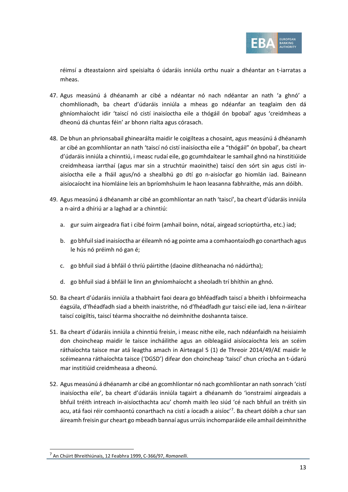

réimsí a dteastaíonn aird speisialta ó údaráis inniúla orthu nuair a dhéantar an t-iarratas a mheas.

- 47. Agus measúnú á dhéanamh ar cibé a ndéantar nó nach ndéantar an nath 'a ghnó' a chomhlíonadh, ba cheart d'údaráis inniúla a mheas go ndéanfar an teaglaim den dá ghníomhaíocht idir 'taiscí nó cistí inaisíoctha eile a thógáil ón bpobal' agus 'creidmheas a dheonú dá chuntas féin' ar bhonn rialta agus córasach.
- 48. De bhun an phrionsabail ghinearálta maidir le coigilteas a chosaint, agus measúnú á dhéanamh ar cibé an gcomhlíontar an nath 'taiscí nó cistí inaisíoctha eile a "thógáil" ón bpobal', ba cheart d'údaráis inniúla a chinntiú, i measc rudaí eile, go gcumhdaítear le samhail ghnó na hinstitiúide creidmheasa iarrthaí (agus mar sin a struchtúr maoinithe) taiscí den sórt sin agus cistí inaisíoctha eile a fháil agus/nó a shealbhú go dtí go n-aisíocfar go hiomlán iad. Baineann aisíocaíocht ina hiomláine leis an bpríomhshuim le haon leasanna fabhraithe, más ann dóibh.
- 49. Agus measúnú á dhéanamh ar cibé an gcomhlíontar an nath 'taiscí', ba cheart d'údaráis inniúla a n-aird a dhíriú ar a laghad ar a chinntiú:
	- a. gur suim airgeadra fiat i cibé foirm (amhail boinn, nótaí, airgead scrioptúrtha, etc.) iad;
	- b. go bhfuil siad inaisíoctha ar éileamh nó ag pointe ama a comhaontaíodh go conarthach agus le hús nó préimh nó gan é;
	- c. go bhfuil siad á bhfáil ó thríú páirtithe (daoine dlítheanacha nó nádúrtha);
	- d. go bhfuil siad á bhfáil le linn an ghníomhaíocht a sheoladh trí bhíthin an ghnó.
- 50. Ba cheart d'údaráis inniúla a thabhairt faoi deara go bhféadfadh taiscí a bheith i bhfoirmeacha éagsúla, d'fhéadfadh siad a bheith inaistrithe, nó d'fhéadfadh gur taiscí eile iad, lena n-áirítear taiscí coigiltis, taiscí téarma shocraithe nó deimhnithe doshannta taisce.
- 51. Ba cheart d'údaráis inniúla a chinntiú freisin, i measc nithe eile, nach ndéanfaidh na heisiaimh don choincheap maidir le taisce incháilithe agus an oibleagáid aisíocaíochta leis an scéim ráthaíochta taisce mar atá leagtha amach in Airteagal 5 (1) de Threoir 2014/49/AE maidir le scéimeanna ráthaíochta taisce ('DGSD') difear don choincheap 'taiscí' chun críocha an t-údarú mar institiúid creidmheasa a dheonú.
- 52. Agus measúnú á dhéanamh ar cibé an gcomhlíontar nó nach gcomhlíontar an nath sonrach 'cistí inaisíoctha eile', ba cheart d'údaráis inniúla tagairt a dhéanamh do 'ionstraimí airgeadais a bhfuil tréith intreach in-aisíocthachta acu' chomh maith leo siúd 'cé nach bhfuil an tréith sin acu, atá faoi réir comhaontú conarthach na cistí a íocadh a aisíoc'<sup>[7](#page-12-0)</sup>. Ba cheart dóibh a chur san áireamh freisin gur cheart go mbeadh bannaí agus urrúis inchomparáide eile amhail deimhnithe

<span id="page-12-0"></span><sup>7</sup> An Chúirt Bhreithiúnais, 12 Feabhra 1999, C-366/97, *Romanelli*.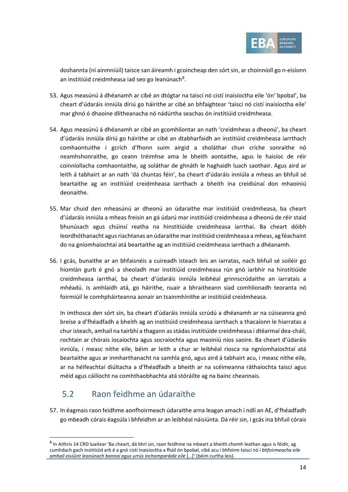

doshannta (ní ainmniúil) taisce san áireamh i gcoincheap den sórt sin, ar choinníoll go n-eisíonn an institiúid creidmheasa iad seo go leanúnach $8$ .

- 53. Agus measúnú á dhéanamh ar cibé an dtógtar na taiscí nó cistí inaisíoctha eile 'ón' bpobal', ba cheart d'údaráis inniúla díriú go háirithe ar cibé an bhfaightear 'taiscí nó cistí inaisíoctha eile' mar ghnó ó dhaoine dlítheanacha nó nádúrtha seachas ón institiúid creidmheasa.
- 54. Agus measúnú á dhéanamh ar cibé an gcomhlíontar an nath 'creidmheas a dheonú', ba cheart d'údaráis inniúla díriú go háirithe ar cibé an dtabharfaidh an institiúid creidmheasa iarrthach comhaontuithe i gcrích d'fhonn suim airgid a sholáthar chun críche sonraithe nó neamhshonraithe, go ceann tréimhse ama le bheith aontaithe, agus le haisíoc de réir coinníollacha comhaontaithe, ag soláthar de ghnáth le haghaidh luach saothair. Agus aird ar leith á tabhairt ar an nath 'dá chuntas féin', ba cheart d'údaráis inniúla a mheas an bhfuil sé beartaithe ag an institiúid creidmheasa iarrthach a bheith ina creidiúnaí don mhaoiniú deonaithe.
- 55. Mar chuid den mheasúnú ar dheonú an údaraithe mar institiúid creidmheasa, ba cheart d'údaráis inniúla a mheas freisin an gá údarú mar institiúid creidmheasa a dheonú de réir staid bhunúsach agus chúinsí reatha na hinstitiúide creidmheasa iarrthaí. Ba cheart dóibh leordhóthanacht agus riachtanas an údaraithe mar institiúid creidmheasa a mheas, ag féachaint do na gníomhaíochtaí atá beartaithe ag an institiúid creidmheasa iarrthach a dhéanamh.
- 56. I gcás, bunaithe ar an bhfaisnéis a cuireadh isteach leis an iarratas, nach bhfuil sé soiléir go hiomlán gurb é gnó a sheoladh mar institiúid creidmheasa rún gnó iarbhír na hinstitiúide creidmheasa iarrthaí, ba cheart d'údaráis inniúla leibhéal grinnscrúdaithe an iarratais a mhéadú. Is amhlaidh atá, go háirithe, nuair a bhraitheann siad comhlíonadh teoranta nó foirmiúil le comhpháirteanna aonair an tsainmhínithe ar institiúid creidmheasa.

In imthosca den sórt sin, ba cheart d'údaráis inniúla scrúdú a dhéanamh ar na cúiseanna gnó breise a d'fhéadfadh a bheith ag an institiúid creidmheasa iarrthach a thacaíonn le hiarratas a chur isteach, amhail na tairbhí a thagann as stádas institiúide creidmheasa i dtéarmaí dea-cháil, rochtain ar chórais íocaíochta agus socraíochta agus maoiniú níos saoire. Ba cheart d'údaráis inniúla, i measc nithe eile, béim ar leith a chur ar leibhéal riosca na ngníomhaíochtaí atá beartaithe agus ar inmharthanacht na samhla gnó, agus aird á tabhairt acu, i measc nithe eile, ar na héifeachtaí diúltacha a d'fhéadfadh a bheith ar na scéimeanna ráthaíochta taiscí agus méid agus cáilíocht na comhthaobhachta atá stóráilte ag na bainc cheannais.

## 5.2 Raon feidhme an údaraithe

<span id="page-13-1"></span>57. In éagmais raon feidhme aonfhoirmeach údaraithe arna leagan amach i ndlí an AE, d'fhéadfadh go mbeadh córais éagsúla i bhfeidhm ar an leibhéal náisiúnta. Dá réir sin, i gcás ina bhfuil córais

<span id="page-13-0"></span><sup>&</sup>lt;sup>8</sup> In Aithris 14 CRD luaitear 'Ba cheart, dá bhrí sin, raon feidhme na mbeart a bheith chomh leathan agus is féidir, ag cumhdach gach institiúid arb é a gnó cistí inaisíoctha a fháil ón bpobal, cibé acu i bhfoirm taiscí nó *i bhfoirmeacha eile amhail eisiúint leanúnach bannaí agus urrús inchomparáide eile* […]' (béim curtha leis).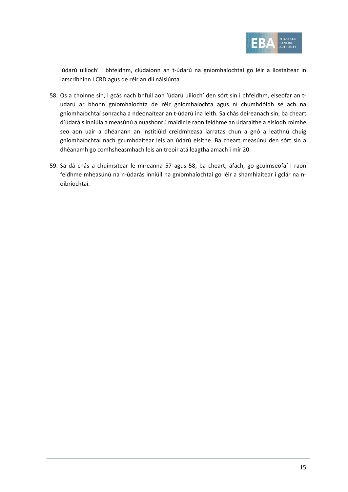

'údarú uilíoch' i bhfeidhm, clúdaíonn an t-údarú na gníomhaíochtaí go léir a liostaítear in Iarscríbhinn I CRD agus de réir an dlí náisiúnta.

- <span id="page-14-0"></span>58. Os a choinne sin, i gcás nach bhfuil aon 'údarú uilíoch' den sórt sin i bhfeidhm, eiseofar an túdarú ar bhonn gníomhaíochta de réir gníomhaíochta agus ní chumhdóidh sé ach na gníomhaíochtaí sonracha a ndeonaítear an t-údarú ina leith. Sa chás deireanach sin, ba cheart d'údaráis inniúla a measúnú a nuashonrú maidir le raon feidhme an údaraithe a eisíodh roimhe seo aon uair a dhéanann an institiúid creidmheasa iarratas chun a gnó a leathnú chuig gníomhaíochtaí nach gcumhdaítear leis an údarú eisithe. Ba cheart measúnú den sórt sin a dhéanamh go comhsheasmhach leis an treoir atá leagtha amach i mír [20.](#page-6-2)
- 59. Sa dá chás a chuimsítear le míreanna [57](#page-13-1) agus [58,](#page-14-0) ba cheart, áfach, go gcuimseofaí i raon feidhme mheasúnú na n-údarás inniúil na gníomhaíochtaí go léir a shamhlaítear i gclár na noibríochtaí.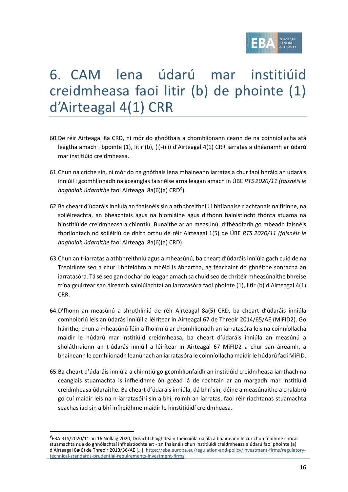

## 6. CAM lena údarú mar institiúid creidmheasa faoi litir (b) de phointe (1) d'Airteagal 4(1) CRR

- 60.De réir Airteagal 8a CRD, ní mór do ghnóthais a chomhlíonann ceann de na coinníollacha atá leagtha amach i bpointe (1), litir (b), (i)-(iii) d'Airteagal 4(1) CRR iarratas a dhéanamh ar údarú mar institiúid creidmheasa.
- 61.Chun na críche sin, ní mór do na gnóthais lena mbaineann iarratas a chur faoi bhráid an údaráis inniúil i gcomhlíonadh na gceanglas faisnéise arna leagan amach in ÚBE *RTS 2020/11 (faisnéis le*  haghaidh údaraithe faoi Airteagal 8a(6)(a) CRD<sup>[9](#page-15-0)</sup>).
- 62.Ba cheart d'údaráis inniúla an fhaisnéis sin a athbhreithniú i bhfianaise riachtanais na fírinne, na soiléireachta, an bheachtais agus na hiomláine agus d'fhonn bainistíocht fhónta stuama na hinstitiúide creidmheasa a chinntiú. Bunaithe ar an measúnú, d'fhéadfadh go mbeadh faisnéis fhorlíontach nó soiléiriú de dhíth orthu de réir Airteagal 1(5) de ÚBE *RTS 2020/11 (faisnéis le haghaidh údaraithe* faoi Airteagal 8a(6)(a) CRD).
- 63.Chun an t-iarratas a athbhreithniú agus a mheasúnú, ba cheart d'údaráis inniúla gach cuid de na Treoirlínte seo a chur i bhfeidhm a mhéid is ábhartha, ag féachaint do ghnéithe sonracha an iarratasóra. Tá sé seo gan dochar do leagan amach sa chuid seo de chritéir mheasúnaithe bhreise trína gcuirtear san áireamh sainiúlachtaí an iarratasóra faoi phointe (1), litir (b) d'Airteagal 4(1) CRR.
- 64.D'fhonn an measúnú a shruthlíniú de réir Airteagal 8a(5) CRD, ba cheart d'údaráis inniúla comhoibriú leis an údarás inniúil a léirítear in Airteagal 67 de Threoir 2014/65/AE (MiFID2). Go háirithe, chun a mheasúnú féin a fhoirmiú ar chomhlíonadh an iarratasóra leis na coinníollacha maidir le húdarú mar institiúid creidmheasa, ba cheart d'údaráis inniúla an measúnú a sholáthraíonn an t-údarás inniúil a léirítear in Airteagal 67 MiFID2 a chur san áireamh, a bhaineann le comhlíonadh leanúnach an iarratasóra le coinníollacha maidir le húdarú faoi MiFID.
- 65.Ba cheart d'údaráis inniúla a chinntiú go gcomhlíonfaidh an institiúid creidmheasa iarrthach na ceanglais stuamachta is infheidhme ón gcéad lá de rochtain ar an margadh mar institiúid creidmheasa údaraithe. Ba cheart d'údaráis inniúla, dá bhrí sin, déine a measúnaithe a chalabrú go cuí maidir leis na n-iarratasóirí sin a bhí, roimh an iarratas, faoi réir riachtanas stuamachta seachas iad sin a bhí infheidhme maidir le hinstitiúidí creidmheasa.

<span id="page-15-0"></span><sup>9</sup> EBA RTS/2020/11 an 16 Nollaig 2020, Dréachtchaighdeáin theicniúla rialála a bhaineann le cur chun feidhme chóras stuamachta nua do ghnólachtaí infheistíochta ar: - an fhaisnéis chun institiúidí creidmheasa a údarú faoi phointe (a) d'Airteagal 8a(6) de Threoir 2013/36/AE […][. https://eba.europa.eu/regulation-and-policy/investment-firms/regulatory](https://eba.europa.eu/regulation-and-policy/investment-firms/regulatory-technical-standards-prudential-requirements-investment-firms)[technical-standards-prudential-requirements-investment-firms](https://eba.europa.eu/regulation-and-policy/investment-firms/regulatory-technical-standards-prudential-requirements-investment-firms)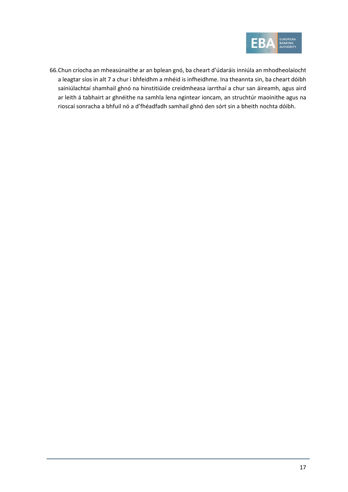

66.Chun críocha an mheasúnaithe ar an bplean gnó, ba cheart d'údaráis inniúla an mhodheolaíocht a leagtar síos in alt 7 a chur i bhfeidhm a mhéid is infheidhme. Ina theannta sin, ba cheart dóibh sainiúlachtaí shamhail ghnó na hinstitiúide creidmheasa iarrthaí a chur san áireamh, agus aird ar leith á tabhairt ar ghnéithe na samhla lena ngintear ioncam, an struchtúr maoinithe agus na rioscaí sonracha a bhfuil nó a d'fhéadfadh samhail ghnó den sórt sin a bheith nochta dóibh.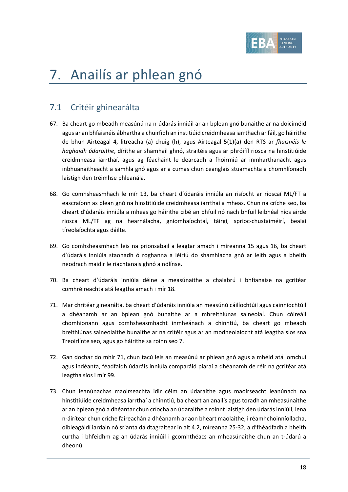

# 7. Anailís ar phlean gnó

## 7.1 Critéir ghinearálta

- 67. Ba cheart go mbeadh measúnú na n-údarás inniúil ar an bplean gnó bunaithe ar na doiciméid agus ar an bhfaisnéis ábhartha a chuirfidh an institiúid creidmheasa iarrthach ar fáil, go háirithe de bhun Airteagal 4, litreacha (a) chuig (h), agus Airteagal 5(1)(a) den RTS ar *fhaisnéis le haghaidh údaraithe*, dírithe ar shamhail ghnó, straitéis agus ar phróifíl riosca na hinstitiúide creidmheasa iarrthaí, agus ag féachaint le dearcadh a fhoirmiú ar inmharthanacht agus inbhuanaitheacht a samhla gnó agus ar a cumas chun ceanglais stuamachta a chomhlíonadh laistigh den tréimhse phleanála.
- 68. Go comhsheasmhach le mír [13,](#page-4-1) ba cheart d'údaráis inniúla an risíocht ar rioscaí ML/FT a eascraíonn as plean gnó na hinstitiúide creidmheasa iarrthaí a mheas. Chun na críche seo, ba cheart d'údaráis inniúla a mheas go háirithe cibé an bhfuil nó nach bhfuil leibhéal níos airde riosca ML/TF ag na hearnálacha, gníomhaíochtaí, táirgí, sprioc-chustaiméirí, bealaí tíreolaíochta agus dáilte.
- 69. Go comhsheasmhach leis na prionsabail a leagtar amach i míreanna [15](#page-4-2) agus [16,](#page-5-1) ba cheart d'údaráis inniúla staonadh ó roghanna a léiriú do shamhlacha gnó ar leith agus a bheith neodrach maidir le riachtanais ghnó a ndlínse.
- <span id="page-17-1"></span>70. Ba cheart d'údaráis inniúla déine a measúnaithe a chalabrú i bhfianaise na gcritéar comhréireachta atá leagtha amach i mír [18.](#page-5-0)
- <span id="page-17-0"></span>71. Mar chritéar ginearálta, ba cheart d'údaráis inniúla an measúnú cáilíochtúil agus cainníochtúil a dhéanamh ar an bplean gnó bunaithe ar a mbreithiúnas saineolaí. Chun cóireáil chomhionann agus comhsheasmhacht inmheánach a chinntiú, ba cheart go mbeadh breithiúnas saineolaithe bunaithe ar na critéir agus ar an modheolaíocht atá leagtha síos sna Treoirlínte seo, agus go háirithe sa roinn seo 7.
- 72. Gan dochar do mhír [71,](#page-17-0) chun tacú leis an measúnú ar phlean gnó agus a mhéid atá iomchuí agus indéanta, féadfaidh údaráis inniúla comparáid piaraí a dhéanamh de réir na gcritéar atá leagtha síos i mír [99.](#page-23-0)
- 73. Chun leanúnachas maoirseachta idir céim an údaraithe agus maoirseacht leanúnach na hinstitiúide creidmheasa iarrthaí a chinntiú, ba cheart an anailís agus toradh an mheasúnaithe ar an bplean gnó a dhéantar chun críocha an údaraithe a roinnt laistigh den údarás inniúil, lena n-áirítear chun críche faireachán a dhéanamh ar aon bheart maolaithe, i réamhchoinníollacha, oibleagáidí iardain nó srianta dá dtagraítear in alt [4.2,](#page-6-3) míreanna [25-](#page-7-2)[32,](#page-8-1) a d'fhéadfadh a bheith curtha i bhfeidhm ag an údarás inniúil i gcomhthéacs an mheasúnaithe chun an t-údarú a dheonú.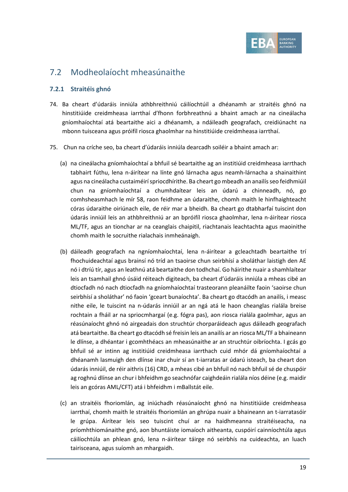

## 7.2 Modheolaíocht mheasúnaithe

#### **7.2.1 Straitéis ghnó**

- 74. Ba cheart d'údaráis inniúla athbhreithniú cáilíochtúil a dhéanamh ar straitéis ghnó na hinstitiúide creidmheasa iarrthaí d'fhonn forbhreathnú a bhaint amach ar na cineálacha gníomhaíochtaí atá beartaithe aici a dhéanamh, a ndáileadh geografach, creidiúnacht na mbonn tuisceana agus próifíl riosca ghaolmhar na hinstitiúide creidmheasa iarrthaí.
- 75. Chun na críche seo, ba cheart d'údaráis inniúla dearcadh soiléir a bhaint amach ar:
	- (a) na cineálacha gníomhaíochtaí a bhfuil sé beartaithe ag an institiúid creidmheasa iarrthach tabhairt fúthu, lena n-áirítear na línte gnó lárnacha agus neamh-lárnacha a shainaithint agus na cineálacha custaiméirí spriocdhírithe. Ba cheart go mbeadh an anailís seo feidhmiúil chun na gníomhaíochtaí a chumhdaítear leis an údarú a chinneadh, nó, go comhsheasmhach le mír [58,](#page-14-0) raon feidhme an údaraithe, chomh maith le hinfhaighteacht córas údaraithe oiriúnach eile, de réir mar a bheidh. Ba cheart go dtabharfaí tuiscint don údarás inniúil leis an athbhreithniú ar an bpróifíl riosca ghaolmhar, lena n-áirítear riosca ML/TF, agus an tionchar ar na ceanglais chaipitil, riachtanais leachtachta agus maoinithe chomh maith le socruithe rialachais inmheánaigh.
	- (b) dáileadh geografach na ngníomhaíochtaí, lena n-áirítear a gcleachtadh beartaithe trí fhochuideachtaí agus brainsí nó tríd an tsaoirse chun seirbhísí a sholáthar laistigh den AE nó i dtríú tír, agus an leathnú atá beartaithe don todhchaí. Go háirithe nuair a shamhlaítear leis an tsamhail ghnó úsáid réiteach digiteach, ba cheart d'údaráis inniúla a mheas cibé an dtiocfadh nó nach dtiocfadh na gníomhaíochtaí trasteorann pleanáilte faoin 'saoirse chun seirbhísí a sholáthar' nó faoin 'gceart bunaíochta'. Ba cheart go dtacódh an anailís, i measc nithe eile, le tuiscint na n-údarás inniúil ar an ngá atá le haon cheanglas rialála breise rochtain a fháil ar na spriocmhargaí (e.g. fógra pas), aon riosca rialála gaolmhar, agus an réasúnaíocht ghnó nó airgeadais don struchtúr chorparáideach agus dáileadh geografach atá beartaithe. Ba cheart go dtacódh sé freisin leis an anailís ar an riosca ML/TF a bhaineann le dlínse, a dhéantar i gcomhthéacs an mheasúnaithe ar an struchtúr oibríochta. I gcás go bhfuil sé ar intinn ag institiúid creidmheasa iarrthach cuid mhór dá gníomhaíochtaí a dhéanamh lasmuigh den dlínse inar chuir sí an t-iarratas ar údarú isteach, ba cheart don údarás inniúil, de réir aithris (16) CRD, a mheas cibé an bhfuil nó nach bhfuil sé de chuspóir ag roghnú dlínse an chur i bhfeidhm go seachnófar caighdeáin rialála níos déine (e.g. maidir leis an gcóras AML/CFT) atá i bhfeidhm i mBallstát eile.
	- (c) an straitéis fhoriomlán, ag iniúchadh réasúnaíocht ghnó na hinstitiúide creidmheasa iarrthaí, chomh maith le straitéis fhoriomlán an ghrúpa nuair a bhaineann an t-iarratasóir le grúpa. Áirítear leis seo tuiscint chuí ar na haidhmeanna straitéiseacha, na príomhthiománaithe gnó, aon bhuntáiste iomaíoch aitheanta, cuspóirí cainníochtúla agus cáilíochtúla an phlean gnó, lena n-áirítear táirge nó seirbhís na cuideachta, an luach tairisceana, agus suíomh an mhargaidh.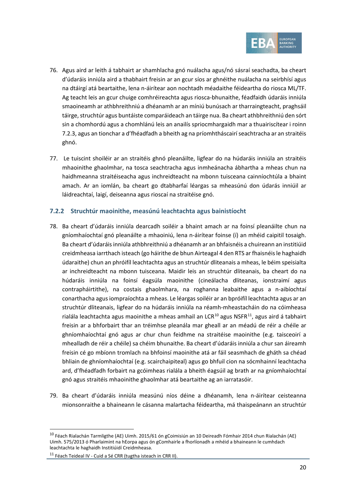

- 76. Agus aird ar leith á tabhairt ar shamhlacha gnó nuálacha agus/nó sásraí seachadta, ba cheart d'údaráis inniúla aird a thabhairt freisin ar an gcur síos ar ghnéithe nuálacha na seirbhísí agus na dtáirgí atá beartaithe, lena n-áirítear aon nochtadh méadaithe féideartha do riosca ML/TF. Ag teacht leis an gcur chuige comhréireachta agus riosca-bhunaithe, féadfaidh údaráis inniúla smaoineamh ar athbhreithniú a dhéanamh ar an míniú bunúsach ar tharraingteacht, praghsáil táirge, struchtúr agus buntáiste comparáideach an táirge nua. Ba cheart athbhreithniú den sórt sin a chomhordú agus a chomhlánú leis an anailís spriocmhargaidh mar a thuairiscítear i roinn [7.2.3,](#page-21-0) agus an tionchar a d'fhéadfadh a bheith ag na príomhtháscairí seachtracha ar an straitéis ghnó.
- 77. Le tuiscint shoiléir ar an straitéis ghnó pleanáilte, ligfear do na húdaráis inniúla an straitéis mhaoinithe ghaolmhar, na tosca seachtracha agus inmheánacha ábhartha a mheas chun na haidhmeanna straitéiseacha agus inchreidteacht na mbonn tuisceana cainníochtúla a bhaint amach. Ar an iomlán, ba cheart go dtabharfaí léargas sa mheasúnú don údarás inniúil ar láidreachtaí, laigí, deiseanna agus rioscaí na straitéise gnó.

#### **7.2.2 Struchtúr maoinithe, measúnú leachtachta agus bainistíocht**

- 78. Ba cheart d'údaráis inniúla dearcadh soiléir a bhaint amach ar na foinsí pleanáilte chun na gníomhaíochtaí gnó pleanáilte a mhaoiniú, lena n-áirítear foinse (í) an mhéid caipitil tosaigh. Ba cheart d'údaráis inniúla athbhreithniú a dhéanamh ar an bhfaisnéis a chuireann an institiúid creidmheasa iarrthach isteach (go háirithe de bhun Airteagal 4 den RTS ar fhaisnéis le haghaidh údaraithe) chun an phróifíl leachtachta agus an struchtúr dliteanais a mheas, le béim speisialta ar inchreidteacht na mbonn tuisceana. Maidir leis an struchtúr dliteanais, ba cheart do na húdaráis inniúla na foinsí éagsúla maoinithe (cineálacha dliteanas, ionstraimí agus contrapháirtithe), na costais ghaolmhara, na roghanna leabaithe agus a n-aibíochtaí conarthacha agus iompraíochta a mheas. Le léargas soiléir ar an bpróifíl leachtachta agus ar an struchtúr dliteanais, ligfear do na húdaráis inniúla na réamh-mheastacháin do na cóimheasa rialála leachtachta agus maoinithe a mheas amhail an LCR<sup>[10](#page-19-0)</sup> agus NSFR<sup>11</sup>, agus aird á tabhairt freisin ar a bhforbairt thar an tréimhse pleanála mar gheall ar an méadú de réir a chéile ar ghníomhaíochtaí gnó agus ar chur chun feidhme na straitéise maoinithe (e.g. taisceoirí a mhealladh de réir a chéile) sa chéim bhunaithe. Ba cheart d'údaráis inniúla a chur san áireamh freisin cé go mbíonn tromlach na bhfoinsí maoinithe atá ar fáil seasmhach de gháth sa chéad bhliain de ghníomhaíochtaí (e.g. scairchaipiteal) agus go bhfuil cion na sócmhainní leachtacha ard, d'fhéadfadh forbairt na gcóimheas rialála a bheith éagsúil ag brath ar na gníomhaíochtaí gnó agus straitéis mhaoinithe ghaolmhar atá beartaithe ag an iarratasóir.
- 79. Ba cheart d'údaráis inniúla measúnú níos déine a dhéanamh, lena n-áirítear ceisteanna mionsonraithe a bhaineann le cásanna malartacha féideartha, má thaispeánann an struchtúr

<span id="page-19-0"></span><sup>10</sup> Féach Rialachán Tarmligthe (AE) Uimh. 2015/61 ón gCoimisiún an 10 Deireadh Fómhair 2014 chun Rialachán (AE) Uimh. 575/2013 ó Pharlaimint na hEorpa agus ón gComhairle a fhorlíonadh a mhéid a bhaineann le cumhdach leachtachta le haghaidh Institiúidí Creidmheasa.

<span id="page-19-1"></span><sup>&</sup>lt;sup>11</sup> Féach Teideal IV - Cuid a Sé CRR (tugtha isteach in CRR II).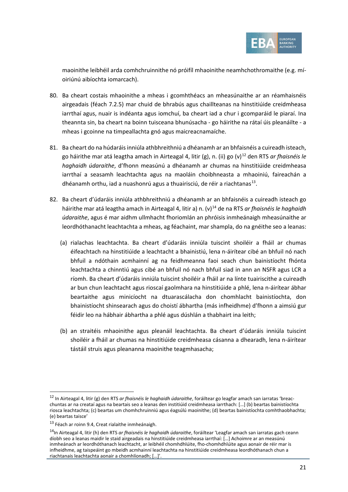

maoinithe leibhéil arda comhchruinnithe nó próifíl mhaoinithe neamhchothromaithe (e.g. míoiriúnú aibíochta iomarcach).

- 80. Ba cheart costais mhaoinithe a mheas i gcomhthéacs an mheasúnaithe ar an réamhaisnéis airgeadais (féach [7.2.5\)](#page-22-0) mar chuid de bhrabús agus chaillteanas na hinstitiúide creidmheasa iarrthaí agus, nuair is indéanta agus iomchuí, ba cheart iad a chur i gcomparáid le piaraí. Ina theannta sin, ba cheart na boinn tuisceana bhunúsacha - go háirithe na rátaí úis pleanáilte - a mheas i gcoinne na timpeallachta gnó agus maicreacnamaíche.
- 81. Ba cheart do na húdaráis inniúla athbhreithniú a dhéanamh ar an bhfaisnéis a cuireadh isteach, go háirithe mar atá leagtha amach in Airteagal 4, litir (g), n. (ii) go (v)<sup>[12](#page-20-0)</sup> den RTS *ar fhaisnéis le haghaidh údaraithe*, d'fhonn measúnú a dhéanamh ar chumas na hinstitiúide creidmheasa iarrthaí a seasamh leachtachta agus na maoláin choibhneasta a mhaoiniú, faireachán a dhéanamh orthu, iad a nuashonrú agus a thuairisciú, de réir a riachtanas $^{13}$ .
- 82. Ba cheart d'údaráis inniúla athbhreithniú a dhéanamh ar an bhfaisnéis a cuireadh isteach go háirithe mar atá leagtha amach in Airteagal 4, litir a) n. (v)[14](#page-20-2) de na RTS *ar fhaisnéis le haghaidh údaraithe*, agus é mar aidhm ullmhacht fhoriomlán an phróisis inmheánaigh mheasúnaithe ar leordhóthanacht leachtachta a mheas, ag féachaint, mar shampla, do na gnéithe seo a leanas:
	- (a) rialachas leachtachta. Ba cheart d'údaráis inniúla tuiscint shoiléir a fháil ar chumas éifeachtach na hinstitiúide a leachtacht a bhainistiú, lena n-áirítear cibé an bhfuil nó nach bhfuil a ndóthain acmhainní ag na feidhmeanna faoi seach chun bainistíocht fhónta leachtachta a chinntiú agus cibé an bhfuil nó nach bhfuil siad in ann an NSFR agus LCR a ríomh. Ba cheart d'údaráis inniúla tuiscint shoiléir a fháil ar na línte tuairiscithe a cuireadh ar bun chun leachtacht agus rioscaí gaolmhara na hinstitiúide a phlé, lena n-áirítear ábhar beartaithe agus minicíocht na dtuarascálacha don chomhlacht bainistíochta, don bhainistíocht shinsearach agus do choistí ábhartha (más infheidhme) d'fhonn a aimsiú gur féidir leo na hábhair ábhartha a phlé agus dúshlán a thabhairt ina leith;
	- (b) an straitéis mhaoinithe agus pleanáil leachtachta. Ba cheart d'údaráis inniúla tuiscint shoiléir a fháil ar chumas na hinstitiúide creidmheasa cásanna a dhearadh, lena n-áirítear tástáil struis agus pleananna maoinithe teagmhasacha;

<span id="page-20-0"></span><sup>12</sup> In Airteagal 4, litir (g) den RTS *ar fhaisnéis le haghaidh údaraithe*, foráiltear go leagfar amach san iarratas 'breacchuntas ar na creataí agus na beartais seo a leanas den institiúid creidmheasa iarrthach: […] (b) beartas bainistíochta riosca leachtachta; (c) beartas um chomhchruinniú agus éagsúlú maoinithe; (d) beartas bainistíochta comhthaobhachta; (e) beartas taisce'

 $^{13}$  Féach ar roin[n 9.4,](#page-38-0) Creat rialaithe inmheánaigh.

<span id="page-20-2"></span><span id="page-20-1"></span><sup>14</sup>In Airteagal 4, litir (h) den RTS *ar fhaisnéis le haghaidh údaraithe*, foráiltear 'Leagfar amach san iarratas gach ceann díobh seo a leanas maidir le staid airgeadais na hinstitiúide creidmheasa iarrthaí: […] Achoimre ar an measúnú inmheánach ar leordhóthanach leachtacht, ar leibhéil chomhdhlúite, fho-chomhdhlúite agus aonair de réir mar is infheidhme, ag taispeáint go mbeidh acmhainní leachtachta na hinstitiúide creidmheasa leordhóthanach chun a riachtanais leachtachta aonair a chomhlíonadh; […]'.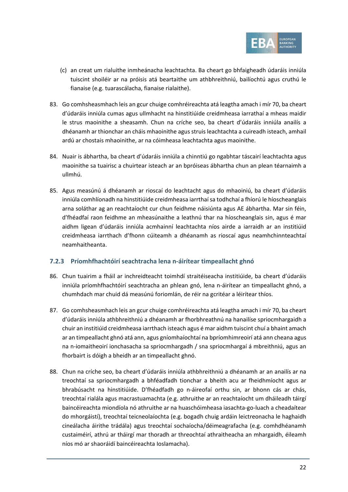

- (c) an creat um rialuithe inmheánacha leachtachta. Ba cheart go bhfaigheadh údaráis inniúla tuiscint shoiléir ar na próisis atá beartaithe um athbhreithniú, bailíochtú agus cruthú le fianaise (e.g. tuarascálacha, fianaise rialaithe).
- 83. Go comhsheasmhach leis an gcur chuige comhréireachta atá leagtha amach i mír [70,](#page-17-1) ba cheart d'údaráis inniúla cumas agus ullmhacht na hinstitiúide creidmheasa iarrathaí a mheas maidir le strus maoinithe a sheasamh. Chun na críche seo, ba cheart d'údaráis inniúla anailís a dhéanamh ar thionchar an cháis mhaoinithe agus struis leachtachta a cuireadh isteach, amhail ardú ar chostais mhaoinithe, ar na cóimheasa leachtachta agus maoinithe.
- 84. Nuair is ábhartha, ba cheart d'údaráis inniúla a chinntiú go ngabhtar táscairí leachtachta agus maoinithe sa tuairisc a chuirtear isteach ar an bpróiseas ábhartha chun an plean téarnaimh a ullmhú.
- 85. Agus measúnú á dhéanamh ar rioscaí do leachtacht agus do mhaoiniú, ba cheart d'údaráis inniúla comhlíonadh na hinstitiúide creidmheasa iarrthaí sa todhchaí a fhíorú le híoscheanglais arna soláthar ag an reachtaíocht cur chun feidhme náisiúnta agus AE ábhartha. Mar sin féin, d'fhéadfaí raon feidhme an mheasúnaithe a leathnú thar na híoscheanglais sin, agus é mar aidhm ligean d'údaráis inniúla acmhainní leachtachta níos airde a iarraidh ar an institiúid creidmheasa iarrthach d'fhonn cúiteamh a dhéanamh as rioscaí agus neamhchinnteachtaí neamhaitheanta.

#### <span id="page-21-0"></span>**7.2.3 Príomhfhachtóirí seachtracha lena n-áirítear timpeallacht ghnó**

- 86. Chun tuairim a fháil ar inchreidteacht toimhdí straitéiseacha institiúide, ba cheart d'údaráis inniúla príomhfhachtóirí seachtracha an phlean gnó, lena n-áirítear an timpeallacht ghnó, a chumhdach mar chuid dá measúnú foriomlán, de réir na gcritéar a léirítear thíos.
- 87. Go comhsheasmhach leis an gcur chuige comhréireachta atá leagtha amach i mír [70,](#page-17-1) ba cheart d'údaráis inniúla athbhreithniú a dhéanamh ar fhorbhreathnú na hanailíse spriocmhargaidh a chuir an institiúid creidmheasa iarrthach isteach agus é mar aidhm tuiscint chuí a bhaint amach ar an timpeallacht ghnó atá ann, agus gníomhaíochtaí na bpríomhimreoirí atá ann cheana agus na n-iomaitheoirí ionchasacha sa spriocmhargadh / sna spriocmhargaí á mbreithniú, agus an fhorbairt is dóigh a bheidh ar an timpeallacht ghnó.
- 88. Chun na críche seo, ba cheart d'údaráis inniúla athbhreithniú a dhéanamh ar an anailís ar na treochtaí sa spriocmhargadh a bhféadfadh tionchar a bheith acu ar fheidhmíocht agus ar bhrabúsacht na hinstitiúide. D'fhéadfadh go n-áireofaí orthu sin, ar bhonn cás ar chás, treochtaí rialála agus macrastuamachta (e.g. athruithe ar an reachtaíocht um dháileadh táirgí baincéireachta miondíola nó athruithe ar na huaschóimheasa iasachta-go-luach a cheadaítear do mhorgáistí), treochtaí teicneolaíochta (e.g. bogadh chuig ardáin leictreonacha le haghaidh cineálacha áirithe trádála) agus treochtaí sochaíocha/déimeagrafacha (e.g. comhdhéanamh custaiméirí, athrú ar tháirgí mar thoradh ar threochtaí athraitheacha an mhargaidh, éileamh níos mó ar shaoráidí baincéireachta Ioslamacha).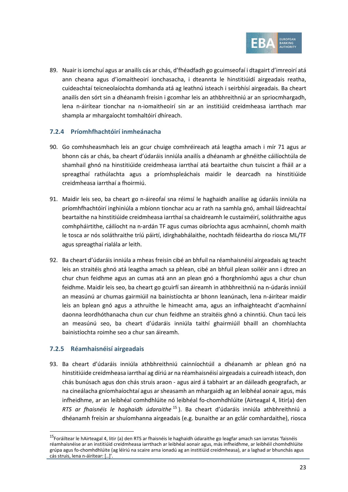

89. Nuair is iomchuí agus ar anailís cás ar chás, d'fhéadfadh go gcuimseofaí i dtagairt d'imreoirí atá ann cheana agus d'iomaitheoirí ionchasacha, i dteannta le hinstitiúidí airgeadais reatha, cuideachtaí teicneolaíochta domhanda atá ag leathnú isteach i seirbhísí airgeadais. Ba cheart anailís den sórt sin a dhéanamh freisin i gcomhar leis an athbhreithniú ar an spriocmhargadh, lena n-áirítear tionchar na n-iomaitheoirí sin ar an institiúid creidmheasa iarrthach mar shampla ar mhargaíocht tomhaltóirí dhíreach.

#### **7.2.4 Príomhfhachtóirí inmheánacha**

- 90. Go comhsheasmhach leis an gcur chuige comhréireach atá leagtha amach i mír [71](#page-17-0) agus ar bhonn cás ar chás, ba cheart d'údaráis inniúla anailís a dhéanamh ar ghnéithe cáilíochtúla de shamhail ghnó na hinstitiúide creidmheasa iarrthaí atá beartaithe chun tuiscint a fháil ar a spreagthaí rathúlachta agus a príomhspleáchais maidir le dearcadh na hinstitiúide creidmheasa iarrthaí a fhoirmiú.
- 91. Maidir leis seo, ba cheart go n-áireofaí sna réimsí le haghaidh anailíse ag údaráis inniúla na príomhfhachtóirí inghiniúla a mbíonn tionchar acu ar rath na samhla gnó, amhail láidreachtaí beartaithe na hinstitiúide creidmheasa iarrthaí sa chaidreamh le custaiméirí, soláthraithe agus comhpháirtithe, cáilíocht na n-ardán TF agus cumas oibríochta agus acmhainní, chomh maith le tosca ar nós soláthraithe tríú páirtí, idirghabhálaithe, nochtadh féideartha do riosca ML/TF agus spreagthaí rialála ar leith.
- <span id="page-22-2"></span>92. Ba cheart d'údaráis inniúla a mheas freisin cibé an bhfuil na réamhaisnéisí airgeadais ag teacht leis an straitéis ghnó atá leagtha amach sa phlean, cibé an bhfuil plean soiléir ann i dtreo an chur chun feidhme agus an cumas atá ann an plean gnó a fhorghníomhú agus a chur chun feidhme. Maidir leis seo, ba cheart go gcuirfí san áireamh in athbhreithniú na n-údarás inniúil an measúnú ar chumas gairmiúil na bainistíochta ar bhonn leanúnach, lena n-áirítear maidir leis an bplean gnó agus a athruithe le himeacht ama, agus an infhaighteacht d'acmhainní daonna leordhóthanacha chun cur chun feidhme an straitéis ghnó a chinntiú. Chun tacú leis an measúnú seo, ba cheart d'údaráis inniúla taithí ghairmiúil bhaill an chomhlachta bainistíochta roimhe seo a chur san áireamh.

#### <span id="page-22-0"></span>**7.2.5 Réamhaisnéisí airgeadais**

<span id="page-22-3"></span>93. Ba cheart d'údaráis inniúla athbhreithniú cainníochtúil a dhéanamh ar phlean gnó na hinstitiúide creidmheasa iarrthaí ag díriú ar na réamhaisnéisí airgeadais a cuireadh isteach, don chás bunúsach agus don chás struis araon - agus aird á tabhairt ar an dáileadh geografach, ar na cineálacha gníomhaíochtaí agus ar sheasamh an mhargaidh ag an leibhéal aonair agus, más infheidhme, ar an leibhéal comhdhlúite nó leibhéal fo-chomhdhlúite (Airteagal 4, litir(a) den *RTS ar fhaisnéis le haghaidh údaraithe* [15](#page-22-1) ). Ba cheart d'údaráis inniúla athbhreithniú a dhéanamh freisin ar shuíomhanna airgeadais (e.g. bunaithe ar an gclár comhardaithe), riosca

<span id="page-22-1"></span><sup>&</sup>lt;sup>15</sup>Foráiltear le hAirteagal 4, litir (a) den RTS ar fhaisnéis le haghaidh údaraithe go leagfar amach san iarratas 'faisnéis réamhaisnéise ar an institiúid creidmheasa iarrthach ar leibhéal aonair agus, más infheidhme, ar leibhéil chomhdhlúite grúpa agus fo-chomhdhlúite (ag léiriú na scaire arna ionadú ag an institiúid creidmheasa), ar a laghad ar bhunchás agus cás struis, lena n-áirítear: [..]'.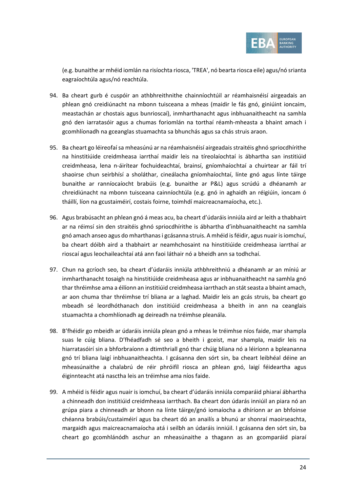

(e.g. bunaithe ar mhéid iomlán na risíochta riosca, 'TREA', nó bearta riosca eile) agus/nó srianta eagraíochtúla agus/nó reachtúla.

- 94. Ba cheart gurb é cuspóir an athbhreithnithe chainníochtúil ar réamhaisnéisí airgeadais an phlean gnó creidiúnacht na mbonn tuisceana a mheas (maidir le fás gnó, giniúint ioncaim, meastachán ar chostais agus bunrioscaí), inmharthanacht agus inbhuanaitheacht na samhla gnó den iarratasóir agus a chumas foriomlán na torthaí réamh-mheasta a bhaint amach i gcomhlíonadh na gceanglas stuamachta sa bhunchás agus sa chás struis araon.
- 95. Ba cheart go léireofaí sa mheasúnú ar na réamhaisnéisí airgeadais straitéis ghnó spriocdhírithe na hinstitiúide creidmheasa iarrthaí maidir leis na tíreolaíochtaí is ábhartha san institiúid creidmheasa, lena n-áirítear fochuideachtaí, brainsí, gníomhaíochtaí a chuirtear ar fáil trí shaoirse chun seirbhísí a sholáthar, cineálacha gníomhaíochtaí, línte gnó agus línte táirge bunaithe ar ranníocaíocht brabúis (e.g. bunaithe ar P&L) agus scrúdú a dhéanamh ar chreidiúnacht na mbonn tuisceana cainníochtúla (e.g. gnó in aghaidh an réigiúin, ioncam ó tháillí, líon na gcustaiméirí, costais foirne, toimhdí maicreacnamaíocha, etc.).
- 96. Agus brabúsacht an phlean gnó á meas acu, ba cheart d'údaráis inniúla aird ar leith a thabhairt ar na réimsí sin den straitéis ghnó spriocdhírithe is ábhartha d'inbhuanaitheacht na samhla gnó amach anseo agus do mharthanas i gcásanna struis. A mhéid is féidir, agus nuair is iomchuí, ba cheart dóibh aird a thabhairt ar neamhchosaint na hinstitiúide creidmheasa iarrthaí ar rioscaí agus leochaileachtaí atá ann faoi láthair nó a bheidh ann sa todhchaí.
- 97. Chun na gcríoch seo, ba cheart d'údaráis inniúla athbhreithniú a dhéanamh ar an míniú ar inmharthanacht tosaigh na hinstitiúide creidmheasa agus ar inbhuanaitheacht na samhla gnó thar thréimhse ama a éilíonn an institiúid creidmheasa iarrthach an stát seasta a bhaint amach, ar aon chuma thar thréimhse trí bliana ar a laghad. Maidir leis an gcás struis, ba cheart go mbeadh sé leordhóthanach don institiúid creidmheasa a bheith in ann na ceanglais stuamachta a chomhlíonadh ag deireadh na tréimhse pleanála.
- 98. B'fhéidir go mbeidh ar údaráis inniúla plean gnó a mheas le tréimhse níos faide, mar shampla suas le cúig bliana. D'fhéadfadh sé seo a bheith i gceist, mar shampla, maidir leis na hiarratasóirí sin a bhforbraíonn a dtimthriall gnó thar chúig bliana nó a léiríonn a bpleananna gnó trí bliana laigí inbhuanaitheachta. I gcásanna den sórt sin, ba cheart leibhéal déine an mheasúnaithe a chalabrú de réir phróifíl riosca an phlean gnó, laigí féideartha agus éiginnteacht atá nasctha leis an tréimhse ama níos faide.
- <span id="page-23-0"></span>99. A mhéid is féidir agus nuair is iomchuí, ba cheart d'údaráis inniúla comparáid phiaraí ábhartha a chinneadh don institiúid creidmheasa iarrthach. Ba cheart don údarás inniúil an piara nó an grúpa piara a chinneadh ar bhonn na línte táirge/gnó iomaíocha a dhíríonn ar an bhfoinse chéanna brabúis/custaiméirí agus ba cheart dó an anailís a bhunú ar shonraí maoirseachta, margaidh agus maicreacnamaíocha atá i seilbh an údaráis inniúil. I gcásanna den sórt sin, ba cheart go gcomhlánódh aschur an mheasúnaithe a thagann as an gcomparáid piaraí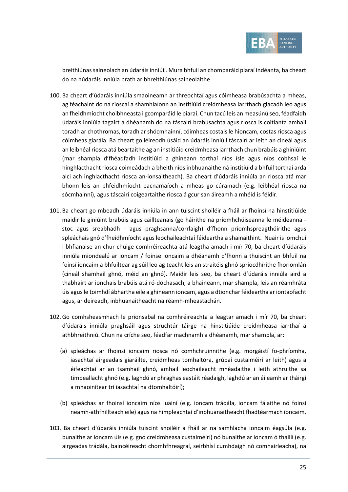

breithiúnas saineolach an údaráis inniúil. Mura bhfuil an chomparáid piaraí indéanta, ba cheart do na húdaráis inniúla brath ar bhreithiúnas saineolaithe.

- 100. Ba cheart d'údaráis inniúla smaoineamh ar threochtaí agus cóimheasa brabúsachta a mheas, ag féachaint do na rioscaí a shamhlaíonn an institiúid creidmheasa iarrthach glacadh leo agus an fheidhmíocht choibhneasta i gcomparáid le piaraí. Chun tacú leis an measúnú seo, féadfaidh údaráis inniúla tagairt a dhéanamh do na táscairí brabúsachta agus riosca is coitianta amhail toradh ar chothromas, toradh ar shócmhainní, cóimheas costais le hioncam, costas riosca agus cóimheas giarála. Ba cheart go léireodh úsáid an údaráis inniúil táscairí ar leith an cineál agus an leibhéal riosca atá beartaithe ag an institiúid creidmheasa iarrthach chun brabúis a ghiniúint (mar shampla d'fhéadfadh institiúid a ghineann torthaí níos ísle agus níos cobhsaí le hinghlacthacht riosca coimeádach a bheith níos inbhuanaithe ná institiúid a bhfuil torthaí arda aici ach inghlacthacht riosca an-ionsaitheach). Ba cheart d'údaráis inniúla an riosca atá mar bhonn leis an bhfeidhmíocht eacnamaíoch a mheas go cúramach (e.g. leibhéal riosca na sócmhainní), agus táscairí coigeartaithe riosca á gcur san áireamh a mhéid is féidir.
- 101. Ba cheart go mbeadh údaráis inniúla in ann tuiscint shoiléir a fháil ar fhoinsí na hinstitiúide maidir le giniúint brabúis agus caillteanais (go háirithe na príomhchúiseanna le méideanna stoc agus sreabhadh - agus praghsanna/corrlaigh) d'fhonn príomhspreagthóirithe agus spleáchais gnó d'fheidhmíocht agus leochaileachtaí féideartha a shainaithint. Nuair is iomchuí i bhfianaise an chur chuige comhréireachta atá leagtha amach i mír [70,](#page-17-1) ba cheart d'údaráis inniúla miondealú ar ioncam / foinse ioncaim a dhéanamh d'fhonn a thuiscint an bhfuil na foinsí ioncaim a bhfuiltear ag súil leo ag teacht leis an straitéis ghnó spriocdhírithe fhoriomlán (cineál shamhail ghnó, méid an ghnó). Maidir leis seo, ba cheart d'údaráis inniúla aird a thabhairt ar ionchais brabúis atá ró-dóchasach, a bhaineann, mar shampla, leis an réamhráta úis agus le toimhdí ábhartha eile a ghineann ioncam, agus a dtionchar féideartha ar iontaofacht agus, ar deireadh, inbhuanaitheacht na réamh-mheastachán.
- 102. Go comhsheasmhach le prionsabal na comhréireachta a leagtar amach i mír [70,](#page-17-1) ba cheart d'údaráis inniúla praghsáil agus struchtúr táirge na hinstitiúide creidmheasa iarrthaí a athbhreithniú. Chun na críche seo, féadfar machnamh a dhéanamh, mar shampla, ar:
	- (a) spleáchas ar fhoinsí ioncaim riosca nó comhchruinnithe (e.g. morgáistí fo-phríomha, iasachtaí airgeadais giaráilte, creidmheas tomhaltóra, grúpaí custaiméirí ar leith) agus a éifeachtaí ar an tsamhail ghnó, amhail leochaileacht mhéadaithe i leith athruithe sa timpeallacht ghnó (e.g. laghdú ar phraghas eastáit réadaigh, laghdú ar an éileamh ar tháirgí a mhaoinítear trí iasachtaí na dtomhaltóirí);
	- (b) spleáchas ar fhoinsí ioncaim níos luainí (e.g. ioncam trádála, ioncam fálaithe nó foinsí neamh-athfhillteach eile) agus na himpleachtaí d'inbhuanaitheacht fhadtéarmach ioncaim.
- 103. Ba cheart d'údaráis inniúla tuiscint shoiléir a fháil ar na samhlacha ioncaim éagsúla (e.g. bunaithe ar ioncam úis (e.g. gnó creidmheasa custaiméirí) nó bunaithe ar ioncam ó tháillí (e.g. airgeadas trádála, baincéireacht chomhfhreagraí, seirbhísí cumhdaigh nó comhairleacha), na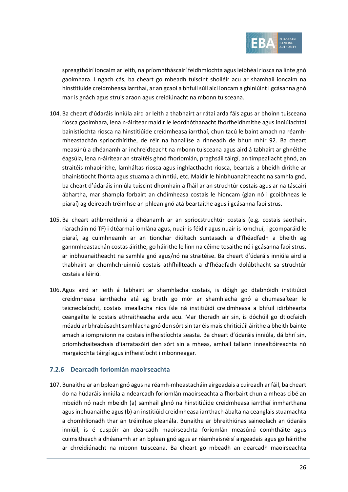

spreagthóirí ioncaim ar leith, na príomhtháscairí feidhmíochta agus leibhéal riosca na línte gnó gaolmhara. I ngach cás, ba cheart go mbeadh tuiscint shoiléir acu ar shamhail ioncaim na hinstitiúide creidmheasa iarrthaí, ar an gcaoi a bhfuil súil aici ioncam a ghiniúint i gcásanna gnó mar is gnách agus struis araon agus creidiúnacht na mbonn tuisceana.

- 104. Ba cheart d'údaráis inniúla aird ar leith a thabhairt ar rátaí arda fáis agus ar bhoinn tuisceana riosca gaolmhara, lena n-áirítear maidir le leordhóthanacht fhorfheidhmithe agus inniúlachtaí bainistíochta riosca na hinstitiúide creidmheasa iarrthaí, chun tacú le baint amach na réamhmheastachán spriocdhírithe, de réir na hanailíse a rinneadh de bhun mhír [92.](#page-22-2) Ba cheart measúnú a dhéanamh ar inchreidteacht na mbonn tuisceana agus aird á tabhairt ar ghnéithe éagsúla, lena n-áirítear an straitéis ghnó fhoriomlán, praghsáil táirgí, an timpeallacht ghnó, an straitéis mhaoinithe, lamháltas riosca agus inghlacthacht riosca, beartais a bheidh dírithe ar bhainistíocht fhónta agus stuama a chinntiú, etc. Maidir le hinbhuanaitheacht na samhla gnó, ba cheart d'údaráis inniúla tuiscint dhomhain a fháil ar an struchtúr costais agus ar na táscairí ábhartha, mar shampla forbairt an chóimheasa costais le hioncam (glan nó i gcoibhneas le piaraí) ag deireadh tréimhse an phlean gnó atá beartaithe agus i gcásanna faoi strus.
- 105. Ba cheart athbhreithniú a dhéanamh ar an spriocstruchtúr costais (e.g. costais saothair, riaracháin nó TF) i dtéarmaí iomlána agus, nuair is féidir agus nuair is iomchuí, i gcomparáid le piaraí, ag cuimhneamh ar an tionchar diúltach suntasach a d'fhéadfadh a bheith ag gannmheastachán costas áirithe, go háirithe le linn na céime tosaithe nó i gcásanna faoi strus, ar inbhuanaitheacht na samhla gnó agus/nó na straitéise. Ba cheart d'údaráis inniúla aird a thabhairt ar chomhchruinniú costais athfhillteach a d'fhéadfadh dolúbthacht sa struchtúr costais a léiriú.
- <span id="page-25-0"></span>106. Agus aird ar leith á tabhairt ar shamhlacha costais, is dóigh go dtabhóidh institiúidí creidmheasa iarrthacha atá ag brath go mór ar shamhlacha gnó a chumasaítear le teicneolaíocht, costais imeallacha níos ísle ná institiúidí creidmheasa a bhfuil idirbhearta ceangailte le costais athraitheacha arda acu. Mar thoradh air sin, is dóchúil go dtiocfaidh méadú ar bhrabúsacht samhlacha gnó den sórt sin tar éis mais chriticiúil áirithe a bheith bainte amach a iompraíonn na costais infheistíochta seasta. Ba cheart d'údaráis inniúla, dá bhrí sin, príomhchaiteachais d'iarratasóirí den sórt sin a mheas, amhail tallann innealtóireachta nó margaíochta táirgí agus infheistíocht i mbonneagar.

#### <span id="page-25-1"></span>**7.2.6 Dearcadh foriomlán maoirseachta**

107. Bunaithe ar an bplean gnó agus na réamh-mheastacháin airgeadais a cuireadh ar fáil, ba cheart do na húdaráis inniúla a ndearcadh foriomlán maoirseachta a fhorbairt chun a mheas cibé an mbeidh nó nach mbeidh (a) samhail ghnó na hinstitiúide creidmheasa iarrthaí inmharthana agus inbhuanaithe agus (b) an institiúid creidmheasa iarrthach ábalta na ceanglais stuamachta a chomhlíonadh thar an tréimhse pleanála. Bunaithe ar bhreithiúnas saineolach an údaráis inniúil, is é cuspóir an dearcadh maoirseachta foriomlán measúnú comhtháite agus cuimsitheach a dhéanamh ar an bplean gnó agus ar réamhaisnéisí airgeadais agus go háirithe ar chreidiúnacht na mbonn tuisceana. Ba cheart go mbeadh an dearcadh maoirseachta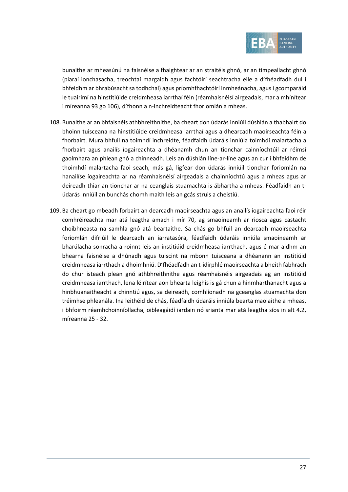

bunaithe ar mheasúnú na faisnéise a fhaightear ar an straitéis ghnó, ar an timpeallacht ghnó (piaraí ionchasacha, treochtaí margaidh agus fachtóirí seachtracha eile a d'fhéadfadh dul i bhfeidhm ar bhrabúsacht sa todhchaí) agus príomhfhachtóirí inmheánacha, agus i gcomparáid le tuairimí na hinstitiúide creidmheasa iarrthaí féin (réamhaisnéisí airgeadais, mar a mhínítear i míreann[a 93](#page-22-3) g[o 106\)](#page-25-0), d'fhonn a n-inchreidteacht fhoriomlán a mheas.

- 108. Bunaithe ar an bhfaisnéis athbhreithnithe, ba cheart don údarás inniúil dúshlán a thabhairt do bhoinn tuisceana na hinstitiúide creidmheasa iarrthaí agus a dhearcadh maoirseachta féin a fhorbairt. Mura bhfuil na toimhdí inchreidte, féadfaidh údaráis inniúla toimhdí malartacha a fhorbairt agus anailís íogaireachta a dhéanamh chun an tionchar cainníochtúil ar réimsí gaolmhara an phlean gnó a chinneadh. Leis an dúshlán líne-ar-líne agus an cur i bhfeidhm de thoimhdí malartacha faoi seach, más gá, ligfear don údarás inniúil tionchar foriomlán na hanailíse íogaireachta ar na réamhaisnéisí airgeadais a chainníochtú agus a mheas agus ar deireadh thiar an tionchar ar na ceanglais stuamachta is ábhartha a mheas. Féadfaidh an túdarás inniúil an bunchás chomh maith leis an gcás struis a cheistiú.
- 109. Ba cheart go mbeadh forbairt an dearcadh maoirseachta agus an anailís íogaireachta faoi réir comhréireachta mar atá leagtha amach i mír [70,](#page-17-1) ag smaoineamh ar riosca agus castacht choibhneasta na samhla gnó atá beartaithe. Sa chás go bhfuil an dearcadh maoirseachta foriomlán difriúil le dearcadh an iarratasóra, féadfaidh údaráis inniúla smaoineamh ar bharúlacha sonracha a roinnt leis an institiúid creidmheasa iarrthach, agus é mar aidhm an bhearna faisnéise a dhúnadh agus tuiscint na mbonn tuisceana a dhéanann an institiúid creidmheasa iarrthach a dhoimhniú. D'fhéadfadh an t-idirphlé maoirseachta a bheith fabhrach do chur isteach plean gnó athbhreithnithe agus réamhaisnéis airgeadais ag an institiúid creidmheasa iarrthach, lena léirítear aon bhearta leighis is gá chun a hinmharthanacht agus a hinbhuanaitheacht a chinntiú agus, sa deireadh, comhlíonadh na gceanglas stuamachta don tréimhse phleanála. Ina leithéid de chás, féadfaidh údaráis inniúla bearta maolaithe a mheas, i bhfoirm réamhchoinníollacha, oibleagáidí iardain nó srianta mar atá leagtha síos in alt [4.2,](#page-6-3) míreanna [25](#page-7-2) - [32.](#page-8-1)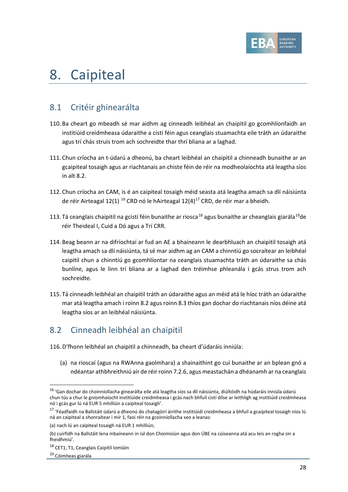

## 8. Caipiteal

## 8.1 Critéir ghinearálta

- 110. Ba cheart go mbeadh sé mar aidhm ag cinneadh leibhéal an chaipitil go gcomhlíonfaidh an institiúid creidmheasa údaraithe a cistí féin agus ceanglais stuamachta eile tráth an údaraithe agus trí chás struis trom ach sochreidte thar thrí bliana ar a laghad.
- 111. Chun críocha an t-údarú a dheonú, ba cheart leibhéal an chaipitil a chinneadh bunaithe ar an gcaipiteal tosaigh agus ar riachtanais an chiste féin de réir na modheolaíochta atá leagtha síos in alt [8.2.](#page-27-0)
- 112. Chun críocha an CAM, is é an caipiteal tosaigh méid seasta atá leagtha amach sa dlí náisiúnta de réir Airteagal 12(1) <sup>[16](#page-27-1)</sup> CRD nó le hAirteagal 12(4)<sup>[17](#page-27-2)</sup> CRD, de réir mar a bheidh.
- 113. Tá ceanglais chaipitil na gcistí féin bunaithe ar riosca<sup>[18](#page-27-3)</sup> agus bunaithe ar cheanglais giarála<sup>19</sup>de réir Theideal I, Cuid a Dó agus a Trí CRR.
- 114. Beag beann ar na difríochtaí ar fud an AE a bhaineann le dearbhluach an chaipitil tosaigh atá leagtha amach sa dlí náisiúnta, tá sé mar aidhm ag an CAM a chinntiú go socraítear an leibhéal caipitil chun a chinntiú go gcomhlíontar na ceanglais stuamachta tráth an údaraithe sa chás bunlíne, agus le linn trí bliana ar a laghad den tréimhse phleanála i gcás strus trom ach sochreidte.
- 115. Tá cinneadh leibhéal an chaipitil tráth an údaraithe agus an méid atá le híoc tráth an údaraithe mar atá leagtha amach i roin[n 8.2](#page-27-0) agus roin[n 8.3](#page-29-0) thíos gan dochar do riachtanais níos déine atá leagtha síos ar an leibhéal náisiúnta.

## <span id="page-27-0"></span>8.2 Cinneadh leibhéal an chaipitil

- <span id="page-27-5"></span>116. D'fhonn leibhéal an chaipitil a chinneadh, ba cheart d'údaráis inniúla:
	- (a) na rioscaí (agus na RWAnna gaolmhara) a shainaithint go cuí bunaithe ar an bplean gnó a ndéantar athbhreithniú air de réir roinn [7.2.6,](#page-25-1) agus meastachán a dhéanamh ar na ceanglais

<span id="page-27-1"></span><sup>&</sup>lt;sup>16</sup> 'Gan dochar do choinníollacha ginearálta eile atá leagtha síos sa dlí náisiúnta, diúltóidh na húdaráis inniúla údarú chun tús a chur le gníomhaíocht institiúide creidmheasa i gcás nach bhfuil cistí dílse ar leithligh ag institiúid creidmheasa nó i gcás gur lú ná EUR 5 mhilliún a caipiteal tosaigh'.

<span id="page-27-2"></span><sup>&</sup>lt;sup>17</sup> 'Féadfaidh na Ballstáit údarú a dheonú do chatagóirí áirithe institiúidí creidmheasa a bhfuil a gcaipiteal tosaigh níos lú ná an caipiteal a shonraítear i mír 1, faoi réir na gcoinníollacha seo a leanas:

<sup>(</sup>a) nach lú an caipiteal tosaigh ná EUR 1 mhilliún;

<sup>(</sup>b) cuirfidh na Ballstáit lena mbaineann in iúl don Choimisiún agus don ÚBE na cúiseanna atá acu leis an rogha sin a fheidhmiú'.

<span id="page-27-3"></span><sup>18</sup> CET1, T1, Ceanglais Caipitil Iomláin

<span id="page-27-4"></span><sup>19</sup> Cóimheas giarála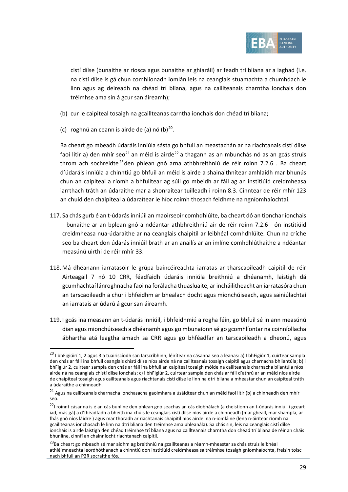

cistí dílse (bunaithe ar riosca agus bunaithe ar ghiaráil) ar feadh trí bliana ar a laghad (i.e. na cistí dílse is gá chun comhlíonadh iomlán leis na ceanglais stuamachta a chumhdach le linn agus ag deireadh na chéad trí bliana, agus na caillteanais charntha ionchais don tréimhse ama sin á gcur san áireamh);

- <span id="page-28-0"></span>(b) cur le caipiteal tosaigh na gcaillteanas carntha ionchais don chéad trí bliana;
- (c) roghnú an ceann is airde de  $(a)$  nó  $(b)^{20}$  $(b)^{20}$  $(b)^{20}$ .

Ba cheart go mbeadh údaráis inniúla sásta go bhfuil an meastachán ar na riachtanais cistí dílse faoi litir a) den mhír seo<sup>[21](#page-28-2)</sup> an méid is airde<sup>[22](#page-28-3)</sup> a thagann as an mbunchás nó as an gcás struis throm ach sochreidte<sup>[23](#page-28-4)</sup>den phlean gnó arna athbhreithniú de réir roinn [7.2.6](#page-25-1). Ba cheart d'údaráis inniúla a chinntiú go bhfuil an méid is airde a shainaithnítear amhlaidh mar bhunús chun an caipiteal a ríomh a bhfuiltear ag súil go mbeidh ar fáil ag an institiúid creidmheasa iarrthach tráth an údaraithe mar a shonraítear tuilleadh i roinn [8.3.](#page-29-0) Cinntear de réir mhír [123](#page-29-1) an chuid den chaipiteal a údaraítear le híoc roimh thosach feidhme na ngníomhaíochtaí.

- <span id="page-28-5"></span>117. Sa chás gurb é an t-údarás inniúil an maoirseoir comhdhlúite, ba cheart dó an tionchar ionchais - bunaithe ar an bplean gnó a ndéantar athbhreithniú air de réir roinn [7.2.6](#page-25-1) - ón institiúid creidmheasa nua-údaraithe ar na ceanglais chaipitil ar leibhéal comhdhlúite. Chun na críche seo ba cheart don údarás inniúil brath ar an anailís ar an imlíne comhdhlúthaithe a ndéantar measúnú uirthi de réir mhír [33.](#page-9-1)
- 118. Má dhéanann iarratasóir le grúpa baincéireachta iarratas ar tharscaoileadh caipitil de réir Airteagail 7 nó 10 CRR, féadfaidh údaráis inniúla breithniú a dhéanamh, laistigh dá gcumhachtaí lánroghnacha faoi na forálacha thuasluaite, ar incháilitheacht an iarratasóra chun an tarscaoileadh a chur i bhfeidhm ar bhealach docht agus mionchúiseach, agus sainiúlachtaí an iarratais ar údarú á gcur san áireamh.
- 119. I gcás ina measann an t-údarás inniúil, i bhfeidhmiú a rogha féin, go bhfuil sé in ann measúnú dian agus mionchúiseach a dhéanamh agus go mbunaíonn sé go gcomhlíontar na coinníollacha ábhartha atá leagtha amach sa CRR agus go bhféadfar an tarscaoileadh a dheonú, agus

<span id="page-28-1"></span><sup>&</sup>lt;sup>20</sup> I bhFigiúirí 1, 2 agus 3 a tuairiscíodh san Iarscríbhinn, léirítear na cásanna seo a leanas: a) I bhFigiúr 1, cuirtear sampla den chás ar fáil ina bhfuil ceanglais chistí dílse níos airde ná na caillteanais tosaigh caipitil agus charnacha bhliantúla; b) i bhFigiúr 2, cuirtear sampla den chás ar fáil ina bhfuil an caipiteal tosaigh móide na caillteanais charnacha bliantúla níos airde ná na ceanglais chistí dílse ionchais; c) i bhFigiúr 2, cuirtear sampla den chás ar fáil d'athrú ar an méid níos airde de chaipiteal tosaigh agus caillteanais agus riachtanais cistí dílse le linn na dtrí bliana a mheastar chun an caipiteal tráth a údaraithe a chinneadh.

<span id="page-28-2"></span> $^{21}$  Agus na caillteanais charnacha ionchasacha gaolmhara a úsáidtear chun an méid faoi liti[r \(b\)](#page-28-0) a chinneadh den mhír seo.

<span id="page-28-3"></span><sup>&</sup>lt;sup>22</sup>l roinnt cásanna is é an cás bunlíne den phlean gnó seachas an cás díobhálach (a cheistíonn an t-údarás inniúil i gceart iad, más gá) a d'fhéadfadh a bheith ina chúis le ceanglais cistí dílse níos airde a chinneadh (mar gheall, mar shampla, ar fhás gnó níos láidre ) agus mar thoradh ar riachtanais chaipitil níos airde ina n-iomláine (lena n-áirítear ríomh na gcaillteanas ionchasach le linn na dtrí bliana den tréimhse ama phleanála). Sa chás sin, leis na ceanglais cistí dílse ionchais is airde laistigh den chéad tréimhse trí bliana agus na caillteanais charntha don chéad trí bliana de réir an cháis bhunlíne, cinnfí an chainníocht riachtanach caipitil.

<span id="page-28-4"></span><sup>&</sup>lt;sup>23</sup>Ba cheart go mbeadh sé mar aidhm ag breithniú na gcaillteanas a réamh-mheastar sa chás struis leibhéal athléimneachta leordhóthanach a chinntiú don institiúid creidmheasa sa tréimhse tosaigh gníomhaíochta, freisin toisc nach bhfuil an P2R socraithe fós.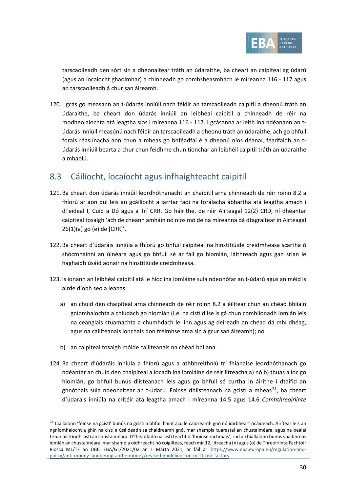

tarscaoileadh den sórt sin a dheonaítear tráth an údaraithe, ba cheart an caipiteal ag údarú (agus an íocaíocht ghaolmhar) a chinneadh go comhsheasmhach le míreanna [116](#page-27-5) - [117](#page-28-5) agus an tarscaoileadh á chur san áireamh.

120. I gcás go measann an t-údarás inniúil nach féidir an tarscaoileadh caipitil a dheonú tráth an údaraithe, ba cheart don údarás inniúil an leibhéal caipitil a chinneadh de réir na modheolaíochta atá leagtha síos i míreanna [116](#page-27-5) - [117.](#page-28-5) I gcásanna ar leith ina ndéanann an túdarás inniúil measúnú nach féidir an tarscaoileadh a dheonú tráth an údaraithe, ach go bhfuil forais réasúnacha ann chun a mheas go bhféadfaí é a dheonú níos déanaí, féadfaidh an túdarás inniúil bearta a chur chun feidhme chun tionchar an leibhéil caipitil tráth an údaraithe a mhaolú.

## <span id="page-29-0"></span>8.3 Cáilíocht, íocaíocht agus infhaighteacht caipitil

- 121. Ba cheart don údarás inniúil leordhóthanacht an chaipitil arna chinneadh de réir roinn [8.2](#page-27-0) a fhíorú ar aon dul leis an gcáilíocht a iarrtar faoi na forálacha ábhartha atá leagtha amach i dTeideal I, Cuid a Dó agus a Trí CRR. Go háirithe, de réir Airteagal 12(2) CRD, ní dhéantar caipiteal tosaigh 'ach de cheann amháin nó níos mó de na míreanna dá dtagraítear in Airteagal 26(1)(a) go (e) de [CRR]'.
- 122. Ba cheart d'údaráis inniúla a fhíorú go bhfuil caipiteal na hinstitiúide creidmheasa scartha ó shócmhainní an úinéara agus go bhfuil sé ar fáil go hiomlán, láithreach agus gan srian le haghaidh úsáid aonair na hinstitiúide creidmheasa.
- <span id="page-29-3"></span><span id="page-29-1"></span>123. Is ionann an leibhéal caipitil atá le híoc ina iomláine sula ndeonófar an t-údarú agus an méid is airde díobh seo a leanas:
	- a) an chuid den chaipiteal arna chinneadh de réir roinn [8.2](#page-27-0) a éilítear chun an chéad bhliain gníomhaíochta a chlúdach go hiomlán (i.e. na cistí dílse is gá chun comhlíonadh iomlán leis na ceanglais stuamachta a chumhdach le linn agus ag deireadh an chéad dá mhí dhéag, agus na caillteanais ionchais don tréimhse ama sin á gcur san áireamh); nó
	- b) an caipiteal tosaigh móide caillteanais na chéad bhliana.
- <span id="page-29-4"></span>124. Ba cheart d'údaráis inniúla a fhíorú agus a athbhreithniú trí fhianaise leordhóthanach go ndéantar an chuid den chaipiteal a íocadh ina iomláine de réir litreacha a) nó b) thuas a íoc go hiomlán, go bhfuil bunús dlisteanach leis agus go bhfuil sé curtha in áirithe i dtaifid an ghnóthais sula ndeonaítear an t-údarú. Foinse dhlisteanach na gcistí a mheas<sup>[24](#page-29-2)</sup>, ba cheart d'údaráis inniúla na critéir atá leagtha amach i míreanna 14.5 agus 14.6 *Comhthreoirlínte*

<span id="page-29-2"></span><sup>&</sup>lt;sup>24</sup> Ciallaíonn 'foinse na gcistí' bunús na gcistí a bhfuil baint acu le caidreamh gnó nó idirbheart ócáideach. Áirítear leis an ngníomhaíocht a ghin na cistí a úsáideadh sa chaidreamh gnó, mar shampla tuarastal an chustaiméara, agus na bealaí trínar aistríodh cistí an chustaiméara. D'fhéadfadh na cistí teacht ó 'fhoinse rachmais', rud a chiallaíonn bunús shaibhreas iomlán an chustaiméara, mar shampla oidhreacht nó coigilteas, féach mír 12, litreacha (n) agus (o) de Threoirlínte Fachtóir Riosca ML/TF an ÚBE, EBA/GL/2021/02 an 1 Márta 2021, ar fáil ar [https://www.eba.europa.eu/regulation-and](https://www.eba.europa.eu/regulation-and-policy/anti-money-laundering-and-e-money/revised-guidelines-on-ml-tf-risk-factors)[policy/anti-money-laundering-and-e-money/revised-guidelines-on-ml-tf-risk-factors](https://www.eba.europa.eu/regulation-and-policy/anti-money-laundering-and-e-money/revised-guidelines-on-ml-tf-risk-factors)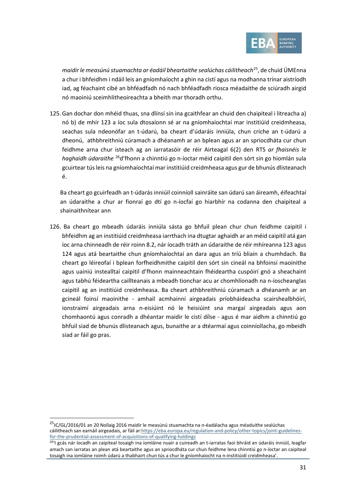<span id="page-30-0"></span>

*maidir le measúnú stuamachta ar éadáil bheartaithe sealúchas cáilitheach*[25](#page-30-1), de chuid ÚMEnna a chur i bhfeidhm i ndáil leis an gníomhaíocht a ghin na cistí agus na modhanna trínar aistríodh iad, ag féachaint cibé an bhféadfadh nó nach bhféadfadh riosca méadaithe de sciúradh airgid nó maoiniú sceimhlitheoireachta a bheith mar thoradh orthu.

125. Gan dochar don mhéid thuas, sna dlínsí sin ina gcaithfear an chuid den chaipiteal i litreacha [a\)](#page-29-3) nó [b\)](#page-29-4) de mhír [123](#page-29-1) a íoc sula dtosaíonn sé ar na gníomhaíochtaí mar institiúid creidmheasa, seachas sula ndeonófar an t-údarú, ba cheart d'údaráis inniúla, chun críche an t-údarú a dheonú, athbhreithniú cúramach a dhéanamh ar an bplean agus ar an spriocdháta cur chun feidhme arna chur isteach ag an iarratasóir de réir Airteagal 6(2) den RTS *ar fhaisnéis le haghaidh údaraithe* [26d](#page-30-2)'fhonn a chinntiú go n-íoctar méid caipitil den sórt sin go hiomlán sula gcuirtear tús leis na gníomhaíochtaí mar institiúid creidmheasa agus gur de bhunús dlisteanach é.

Ba cheart go gcuirfeadh an t-údarás inniúil coinníoll sainráite san údarú san áireamh, éifeachtaí an údaraithe a chur ar fionraí go dtí go n-íocfaí go hiarbhír na codanna den chaipiteal a shainaithnítear ann

126. Ba cheart go mbeadh údaráis inniúla sásta go bhfuil plean chur chun feidhme caipitil i bhfeidhm ag an institiúid creidmheasa iarrthach ina dtugtar aghaidh ar an méid caipitil atá gan íoc arna chinneadh de réir roinn [8.2,](#page-27-0) nár íocadh tráth an údaraithe de réir mhíreann[a 123](#page-29-1) agus [124](#page-30-0) agus atá beartaithe chun gníomhaíochtaí an dara agus an tríú bliain a chumhdach. Ba cheart go léireofaí i bplean forfheidhmithe caipitil den sórt sin cineál na bhfoinsí maoinithe agus uainiú instealltaí caipitil d'fhonn mainneachtain fhéideartha cuspóirí gnó a sheachaint agus tabhú féideartha caillteanais a mbeadh tionchar acu ar chomhlíonadh na n-íoscheanglas caipitil ag an institiúid creidmheasa. Ba cheart athbhreithniú cúramach a dhéanamh ar an gcineál foinsí maoinithe - amhail acmhainní airgeadais príobháideacha scairshealbhóirí, ionstraimí airgeadais arna n-eisiúint nó le heisiúint sna margaí airgeadais agus aon chomhaontú agus conradh a dhéantar maidir le cistí dílse - agus é mar aidhm a chinntiú go bhfuil siad de bhunús dlisteanach agus, bunaithe ar a dtéarmaí agus coinníollacha, go mbeidh siad ar fáil go pras.

<span id="page-30-1"></span><sup>&</sup>lt;sup>25</sup>JC/GL/2016/01 an 20 Nollaig 2016 maidir le measúnú stuamachta na n-éadálacha agus méaduithe sealúchas cáilitheach san earnáil airgeadais, ar fáil ar[:https://eba.europa.eu/regulation-and-policy/other-topics/joint-guidelines](https://eba.europa.eu/regulation-and-policy/other-topics/joint-guidelines-for-the-prudential-assessment-of-acquisitions-of-qualifying-holdings)[for-the-prudential-assessment-of-acquisitions-of-qualifying-holdings](https://eba.europa.eu/regulation-and-policy/other-topics/joint-guidelines-for-the-prudential-assessment-of-acquisitions-of-qualifying-holdings)

<span id="page-30-2"></span><sup>&</sup>lt;sup>26</sup>'I gcás nár íocadh an caipiteal tosaigh ina iomláine nuair a cuireadh an t-iarratas faoi bhráid an údaráis inniúil, leagfar amach san iarratas an plean atá beartaithe agus an spriocdháta cur chun feidhme lena chinntiú go n-íoctar an caipiteal tosaigh ina iomláine roimh údarú a thabhairt chun tús a chur le gníomhaíocht na n-institiúidí creidmheasa'.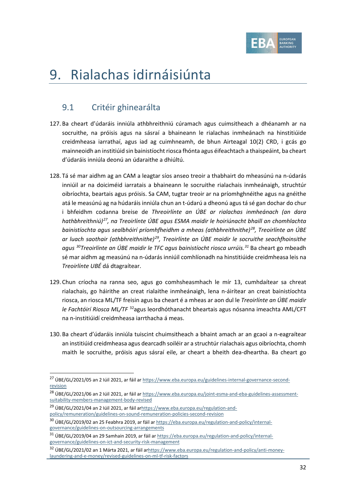

# 9. Rialachas idirnáisiúnta

## 9.1 Critéir ghinearálta

- 127. Ba cheart d'údaráis inniúla athbhreithniú cúramach agus cuimsitheach a dhéanamh ar na socruithe, na próisis agus na sásraí a bhaineann le rialachas inmheánach na hinstitiúide creidmheasa iarrathaí, agus iad ag cuimhneamh, de bhun Airteagal 10(2) CRD, i gcás go mainneoidh an institiúid sin bainistíocht riosca fhónta agus éifeachtach a thaispeáint, ba cheart d'údaráis inniúla deonú an údaraithe a dhiúltú.
- 128. Tá sé mar aidhm ag an CAM a leagtar síos anseo treoir a thabhairt do mheasúnú na n-údarás inniúil ar na doiciméid iarratais a bhaineann le socruithe rialachais inmheánaigh, struchtúr oibríochta, beartais agus próisis. Sa CAM, tugtar treoir ar na príomhghnéithe agus na gnéithe atá le measúnú ag na húdaráis inniúla chun an t-údarú a dheonú agus tá sé gan dochar do chur i bhfeidhm codanna breise de *Threoirlínte an ÚBE ar rialachas inmheánach (an dara hathbhreithniú)[27,](#page-31-0) na Treoirlínte ÚBE agus ESMA maidir le hoiriúnacht bhaill an chomhlachta bainistíochta agus sealbhóirí príomhfheidhm a mheas (athbhreithnithe)[28](#page-31-1), Treoirlínte an ÚBE ar luach saothair (athbhreithnithe)[29](#page-31-2), Treoirlínte an ÚBE maidir le socruithe seachfhoinsithe agus [30T](#page-31-3)reoirlínte an ÚBE maidir le TFC agus bainistíocht riosca urrúis.[31](#page-31-4)* Ba cheart go mbeadh sé mar aidhm ag measúnú na n-údarás inniúil comhlíonadh na hinstitiúide creidmheasa leis na *Treoirlínte UBÉ* dá dtagraítear.
- 129. Chun críocha na ranna seo, agus go comhsheasmhach le mír [13,](#page-4-1) cumhdaítear sa chreat rialachais, go háirithe an creat rialaithe inmheánaigh, lena n-áirítear an creat bainistíochta riosca, an riosca ML/TF freisin agus ba cheart é a mheas ar aon dul le *Treoirlínte an ÚBE maidir le Fachtóirí Riosca ML/TF* [32](#page-31-5)agus leordhóthanacht bheartais agus nósanna imeachta AML/CFT na n-institiúidí creidmheasa iarrthacha á meas.
- 130. Ba cheart d'údaráis inniúla tuiscint chuimsitheach a bhaint amach ar an gcaoi a n-eagraítear an institiúid creidmheasa agus dearcadh soiléir ar a struchtúr rialachais agus oibríochta, chomh maith le socruithe, próisis agus sásraí eile, ar cheart a bheith dea-dheartha. Ba cheart go

<span id="page-31-0"></span><sup>&</sup>lt;sup>27</sup> ÚBE/GL/2021/05 an 2 Iúil 2021, ar fáil a[r https://www.eba.europa.eu/guidelines-internal-governance-second](https://www.eba.europa.eu/guidelines-internal-governance-second-revision)[revision](https://www.eba.europa.eu/guidelines-internal-governance-second-revision)

<span id="page-31-1"></span><sup>&</sup>lt;sup>28</sup> ÚBE/GL/2021/06 an 2 Iúil 2021, ar fáil a[r https://www.eba.europa.eu/joint-esma-and-eba-guidelines-assessment](https://www.eba.europa.eu/joint-esma-and-eba-guidelines-assessment-suitability-members-management-body-revised)[suitability-members-management-body-revised](https://www.eba.europa.eu/joint-esma-and-eba-guidelines-assessment-suitability-members-management-body-revised)

<span id="page-31-2"></span><sup>&</sup>lt;sup>29</sup> ÚBE/GL/2021/04 an 2 Iúil 2021, ar fáil a[rhttps://www.eba.europa.eu/regulation-and-](https://www.eba.europa.eu/regulation-and-policy/remuneration/guidelines-on-sound-remuneration-policies-second-revision)

[policy/remuneration/guidelines-on-sound-remuneration-policies-second-revision](https://www.eba.europa.eu/regulation-and-policy/remuneration/guidelines-on-sound-remuneration-policies-second-revision)

<span id="page-31-3"></span><sup>30</sup> ÚBE/GL/2019/02 an 25 Feabhra 2019, ar fáil a[r https://eba.europa.eu/regulation-and-policy/internal](https://eba.europa.eu/regulation-and-policy/internal-governance/guidelines-on-outsourcing-arrangements)[governance/guidelines-on-outsourcing-arrangements](https://eba.europa.eu/regulation-and-policy/internal-governance/guidelines-on-outsourcing-arrangements)

<span id="page-31-4"></span><sup>31</sup> ÚBE/GL/2019/04 an 29 Samhain 2019, ar fáil a[r https://eba.europa.eu/regulation-and-policy/internal](https://eba.europa.eu/regulation-and-policy/internal-governance/guidelines-on-ict-and-security-risk-management)[governance/guidelines-on-ict-and-security-risk-management](https://eba.europa.eu/regulation-and-policy/internal-governance/guidelines-on-ict-and-security-risk-management)

<span id="page-31-5"></span><sup>&</sup>lt;sup>32</sup> ÚBE/GL/2021/02 an 1 Márta 2021, ar fáil a[rhttps://www.eba.europa.eu/regulation-and-policy/anti-money](https://www.eba.europa.eu/regulation-and-policy/anti-money-laundering-and-e-money/revised-guidelines-on-ml-tf-risk-factors)[laundering-and-e-money/revised-guidelines-on-ml-tf-risk-factors](https://www.eba.europa.eu/regulation-and-policy/anti-money-laundering-and-e-money/revised-guidelines-on-ml-tf-risk-factors)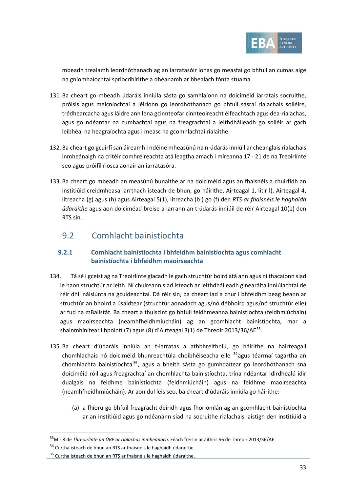

mbeadh trealamh leordhóthanach ag an iarratasóir ionas go measfaí go bhfuil an cumas aige na gníomhaíochtaí spriocdhírithe a dhéanamh ar bhealach fónta stuama.

- 131. Ba cheart go mbeadh údaráis inniúla sásta go samhlaíonn na doiciméid iarratais socruithe, próisis agus meicníochtaí a léiríonn go leordhóthanach go bhfuil sásraí rialachais soiléire, trédhearcacha agus láidre ann lena gcinnteofar cinnteoireacht éifeachtach agus dea-rialachas, agus go ndéantar na cumhachtaí agus na freagrachtaí a leithdháileadh go soiléir ar gach leibhéal na heagraíochta agus i measc na gcomhlachtaí rialaithe.
- 132. Ba cheart go gcuirfí san áireamh i ndéine mheasúnú na n-údarás inniúil ar cheanglais rialachais inmheánaigh na critéir comhréireachta atá leagtha amach i míreanna [17](#page-5-2) - [21](#page-6-4) de na Treoirlínte seo agus próifíl riosca aonair an iarratasóra.
- 133. Ba cheart go mbeadh an measúnú bunaithe ar na doiciméid agus an fhaisnéis a chuirfidh an institiúid creidmheasa iarrthach isteach de bhun, go háirithe, Airteagal 1, litir l), Airteagal 4, litreacha (g) agus (h) agus Airteagal 5(1), litreacha (b ) go (f) den *RTS ar fhaisnéis le haghaidh údaraithe* agus aon doiciméad breise a iarrann an t-údarás inniúil de réir Airteagal 10(1) den RTS sin.

## 9.2 Comhlacht bainistíochta

#### **9.2.1 Comhlacht bainistíochta i bhfeidhm bainistíochta agus comhlacht bainistíochta i bhfeidhm maoirseachta**

- 134. Tá sé i gceist ag na Treoirlínte glacadh le gach struchtúr boird atá ann agus ní thacaíonn siad le haon struchtúr ar leith. Ní chuireann siad isteach ar leithdháileadh ginearálta inniúlachtaí de réir dhlí náisiúnta na gcuideachtaí. Dá réir sin, ba cheart iad a chur i bhfeidhm beag beann ar struchtúr an bhoird a úsáidtear (struchtúr aonadach agus/nó débhoird agus/nó struchtúr eile) ar fud na mBallstát. Ba cheart a thuiscint go bhfuil feidhmeanna bainistíochta (feidhmiúcháin) agus maoirseachta (neamhfheidhmiúcháin) ag an gcomhlacht bainistíochta, mar a shainmhínítear i bpointí (7) agus (8) d'Airteagal 3(1) de Threoir 2013/36/AE<sup>[33](#page-32-0)</sup>.
- 135. Ba cheart d'údaráis inniúla an t-iarratas a athbhreithniú, go háirithe na hairteagail chomhlachais nó doiciméid bhunreachtúla choibhéiseacha eile <sup>[34](#page-32-1)</sup>agus téarmaí tagartha an chomhlachta bainistíochta<sup>[35](#page-32-2)</sup>, agus a bheith sásta go gumhdaítear go leordhóthanach sna doiciméid róil agus freagrachtaí an chomhlachta bainistíochta, trína ndéantar idirdhealú idir dualgais na feidhme bainistíochta (feidhmiúcháin) agus na feidhme maoirseachta (neamhfheidhmiúcháin). Ar aon dul leis seo, ba cheart d'údaráis inniúla go háirithe:
	- (a) a fhíorú go bhfuil freagracht deiridh agus fhoriomlán ag an gcomhlacht bainistíochta ar an institiúid agus go ndéanann siad na socruithe rialachais laistigh den institiúid a

<span id="page-32-0"></span><sup>33</sup>Mír 8 de *Threoirlínte an ÚBE ar rialachas inmheánach.* Féach freisin ar aithris 56 de Threoir 2013/36/AE.

<span id="page-32-1"></span><sup>&</sup>lt;sup>34</sup> Curtha isteach de bhun an RTS ar fhaisnéis le haghaidh údaraithe.

<span id="page-32-2"></span><sup>35</sup> Curtha isteach de bhun an RTS ar fhaisnéis le haghaidh údaraithe.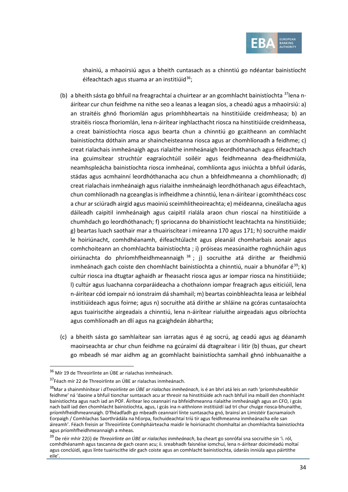

shainiú, a mhaoirsiú agus a bheith cuntasach as a chinntiú go ndéantar bainistíocht éifeachtach agus stuama ar an institiúid $36$ ;

- (b) a bheith sásta go bhfuil na freagrachtaí a chuirtear ar an gcomhlacht bainistíochta [37l](#page-33-1)ena náirítear cur chun feidhme na nithe seo a leanas a leagan síos, a cheadú agus a mhaoirsiú: a) an straitéis ghnó fhoriomlán agus príomhbheartais na hinstitiúide creidmheasa; b) an straitéis riosca fhoriomlán, lena n-áirítear inghlacthacht riosca na hinstitiúide creidmheasa, a creat bainistíochta riosca agus bearta chun a chinntiú go gcaitheann an comhlacht bainistíochta dóthain ama ar shaincheisteanna riosca agus ar chomhlíonadh a feidhme; c) creat rialachais inmheánaigh agus rialaithe inmheánaigh leordhóthanach agus éifeachtach ina gcuimsítear struchtúr eagraíochtúil soiléir agus feidhmeanna dea-fheidhmiúla, neamhspleácha bainistíochta riosca inmheánaí, comhlíonta agus iniúchta a bhfuil údarás, stádas agus acmhainní leordhóthanacha acu chun a bhfeidhmeanna a chomhlíonadh; d) creat rialachais inmheánaigh agus rialaithe inmheánaigh leordhóthanach agus éifeachtach, chun comhlíonadh na gceanglas is infheidhme a chinntiú, lena n-áirítear i gcomhthéacs cosc a chur ar sciúradh airgid agus maoiniú sceimhlitheoireachta; e) méideanna, cineálacha agus dáileadh caipitil inmheánaigh agus caipitil rialála araon chun rioscaí na hinstitiúide a chumhdach go leordhóthanach; f) spriocanna do bhainistíocht leachtachta na hinstitiúide; g) beartas luach saothair mar a thuairiscítear i míreanna [170](#page-41-0) agus [171;](#page-42-0) h) socruithe maidir le hoiriúnacht, comhdhéanamh, éifeachtúlacht agus pleanáil chomharbais aonair agus comhchoiteann an chomhlachta bainistíochta ; i) próiseas measúnaithe roghnúcháin agus oiriúnachta do phríomhfheidhmeannaigh  $38$ ; j) socruithe atá dírithe ar fheidhmiú inmheánach gach coiste den chomhlacht bainistíochta a chinntiú, nuair a bhunófar é<sup>[39](#page-33-3)</sup>; k) cultúr riosca ina dtugtar aghaidh ar fheasacht riosca agus ar iompar riosca na hinstitiúide; l) cultúr agus luachanna corparáideacha a chothaíonn iompar freagrach agus eiticiúil, lena n-áirítear cód iompair nó ionstraim dá shamhail; m) beartas coinbhleachta leasa ar leibhéal institiúideach agus foirne; agus n) socruithe atá dírithe ar shláine na gcóras cuntasaíochta agus tuairiscithe airgeadais a chinntiú, lena n-áirítear rialuithe airgeadais agus oibríochta agus comhlíonadh an dlí agus na gcaighdeán ábhartha;
- (c) a bheith sásta go samhlaítear san iarratas agus é ag socrú, ag ceadú agus ag déanamh maoirseachta ar chur chun feidhme na gcúraimí dá dtagraítear i litir (b) thuas, gur cheart go mbeadh sé mar aidhm ag an gcomhlacht bainistíochta samhail ghnó inbhuanaithe a

<span id="page-33-0"></span><sup>36</sup> Mír 19 de Threoirlínte an ÚBE ar rialachas inmheánach.

<span id="page-33-1"></span><sup>&</sup>lt;sup>37</sup>Féach mír 22 de Threoirlínte an ÚBE ar rialachas inmheánach.

<span id="page-33-2"></span><sup>38</sup>Mar a shainmhínítear i *dTreoirlínte an ÚBE ar rialachas inmheánach*, is é an bhrí atá leis an nath 'príomhshealbhóir feidhme' ná 'daoine a bhfuil tionchar suntasach acu ar threoir na hinstitiúide ach nach bhfuil ina mbaill den chomhlacht bainistíochta agus nach iad an POF. Áirítear leo ceannairí na bhfeidhmeanna rialaithe inmheánaigh agus an CFO, i gcás nach baill iad den chomhlacht bainistíochta, agus, i gcás ina n-aithníonn institiúidí iad trí chur chuige riosca-bhunaithe, príomhfheidhmeannaigh. D'fhéadfadh go mbeadh ceannairí línte suntasacha gnó, brainsí an Limistéir Eacnamaíoch Eorpaigh / Comhlachas Saorthrádála na hEorpa, fochuideachtaí tríú tír agus feidhmeanna inmheánacha eile san áireamh'. Féach freisin ar Threoirlínte Comhpháirteacha maidir le hoiriúnacht chomhaltaí an chomhlachta bainistíochta agus príomhfheidhmeannaigh a mheas.

<span id="page-33-3"></span><sup>39</sup> De réir mhír 22(i) de *Threoirlínte an ÚBE ar rialachas inmheánach*, ba cheart go sonrófaí sna socruithe sin 'i. ról, comhdhéanamh agus tascanna de gach ceann acu; ii. sreabhadh faisnéise iomchuí, lena n-áirítear doiciméadú moltaí agus conclúidí, agus línte tuairiscithe idir gach coiste agus an comhlacht bainistíochta, údaráis inniúla agus páirtithe eile'.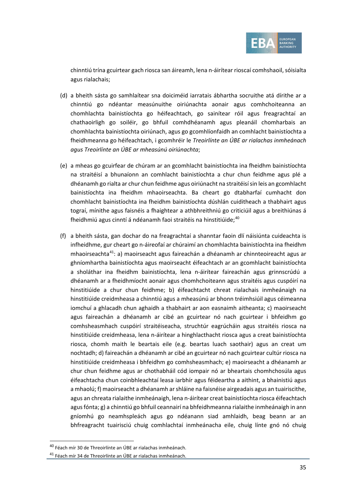

chinntiú trína gcuirtear gach riosca san áireamh, lena n-áirítear rioscaí comhshaoil, sóisialta agus rialachais;

- (d) a bheith sásta go samhlaítear sna doiciméid iarratais ábhartha socruithe atá dírithe ar a chinntiú go ndéantar measúnuithe oiriúnachta aonair agus comhchoiteanna an chomhlachta bainistíochta go héifeachtach, go sainítear róil agus freagrachtaí an chathaoirligh go soiléir, go bhfuil comhdhéanamh agus pleanáil chomharbais an chomhlachta bainistíochta oiriúnach, agus go gcomhlíonfaidh an comhlacht bainistíochta a fheidhmeanna go héifeachtach, i gcomhréir le *Treoirlínte an ÚBE ar rialachas inmheánach agus Treoirlínte an ÚBE ar mheasúnú oiriúnachta*;
- (e) a mheas go gcuirfear de chúram ar an gcomhlacht bainistíochta ina fheidhm bainistíochta na straitéisí a bhunaíonn an comhlacht bainistíochta a chur chun feidhme agus plé a dhéanamh go rialta ar chur chun feidhme agus oiriúnacht na straitéisí sin leis an gcomhlacht bainistíochta ina fheidhm mhaoirseachta. Ba cheart go dtabharfaí cumhacht don chomhlacht bainistíochta ina fheidhm bainistíochta dúshlán cuiditheach a thabhairt agus tograí, mínithe agus faisnéis a fhaightear a athbhreithniú go criticiúil agus a breithiúnas á fheidhmiú agus cinntí á ndéanamh faoi straitéis na hinstitiúide;<sup>[40](#page-34-0)</sup>
- (f) a bheith sásta, gan dochar do na freagrachtaí a shanntar faoin dlí náisiúnta cuideachta is infheidhme, gur cheart go n-áireofaí ar chúraimí an chomhlachta bainistíochta ina fheidhm mhaoirseachta[41:](#page-34-1) a) maoirseacht agus faireachán a dhéanamh ar chinnteoireacht agus ar ghníomhartha bainistíochta agus maoirseacht éifeachtach ar an gcomhlacht bainistíochta a sholáthar ina fheidhm bainistíochta, lena n-áirítear faireachán agus grinnscrúdú a dhéanamh ar a fheidhmíocht aonair agus chomhchoiteann agus straitéis agus cuspóirí na hinstitiúide a chur chun feidhme; b) éifeachtacht chreat rialachais inmheánaigh na hinstitiúide creidmheasa a chinntiú agus a mheasúnú ar bhonn tréimhsiúil agus céimeanna iomchuí a ghlacadh chun aghaidh a thabhairt ar aon easnaimh aitheanta; c) maoirseacht agus faireachán a dhéanamh ar cibé an gcuirtear nó nach gcuirtear i bhfeidhm go comhsheasmhach cuspóirí straitéiseacha, struchtúr eagrúcháin agus straitéis riosca na hinstitiúide creidmheasa, lena n-áirítear a hinghlacthacht riosca agus a creat bainistíochta riosca, chomh maith le beartais eile (e.g. beartas luach saothair) agus an creat um nochtadh; d) faireachán a dhéanamh ar cibé an gcuirtear nó nach gcuirtear cultúr riosca na hinstitiúide creidmheasa i bhfeidhm go comhsheasmhach; e) maoirseacht a dhéanamh ar chur chun feidhme agus ar chothabháil cód iompair nó ar bheartais chomhchosúla agus éifeachtacha chun coinbhleachtaí leasa iarbhír agus féideartha a aithint, a bhainistiú agus a mhaolú; f) maoirseacht a dhéanamh ar shláine na faisnéise airgeadais agus an tuairiscithe, agus an chreata rialaithe inmheánaigh, lena n-áirítear creat bainistíochta riosca éifeachtach agus fónta; g) a chinntiú go bhfuil ceannairí na bhfeidhmeanna rialaithe inmheánaigh in ann gníomhú go neamhspleách agus go ndéanann siad amhlaidh, beag beann ar an bhfreagracht tuairisciú chuig comhlachtaí inmheánacha eile, chuig línte gnó nó chuig

<sup>40</sup> Féach mír 30 de Threoirlínte an ÚBE ar rialachas inmheánach.

<span id="page-34-1"></span><span id="page-34-0"></span><sup>41</sup> Féach mír 34 de Threoirlínte an ÚBE ar rialachas inmheánach.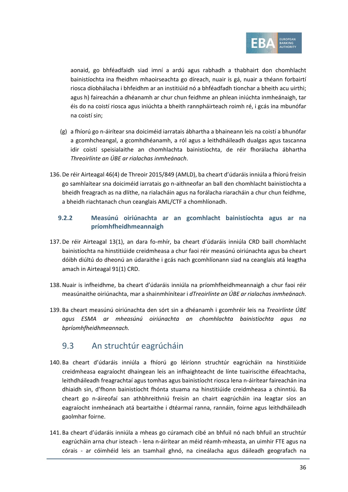

aonaid, go bhféadfaidh siad imní a ardú agus rabhadh a thabhairt don chomhlacht bainistíochta ina fheidhm mhaoirseachta go díreach, nuair is gá, nuair a théann forbairtí riosca díobhálacha i bhfeidhm ar an institiúid nó a bhféadfadh tionchar a bheith acu uirthi; agus h) faireachán a dhéanamh ar chur chun feidhme an phlean iniúchta inmheánaigh, tar éis do na coistí riosca agus iniúchta a bheith rannpháirteach roimh ré, i gcás ina mbunófar na coistí sin;

- (g) a fhíorú go n-áirítear sna doiciméid iarratais ábhartha a bhaineann leis na coistí a bhunófar a gcomhcheangal, a gcomhdhéanamh, a ról agus a leithdháileadh dualgas agus tascanna idir coistí speisialaithe an chomhlachta bainistíochta, de réir fhorálacha ábhartha *Threoirlínte an ÚBE ar rialachas inmheánach*.
- 136. De réir Airteagal 46(4) de Threoir 2015/849 (AMLD), ba cheart d'údaráis inniúla a fhíorú freisin go samhlaítear sna doiciméid iarratais go n-aithneofar an ball den chomhlacht bainistíochta a bheidh freagrach as na dlíthe, na rialacháin agus na forálacha riaracháin a chur chun feidhme, a bheidh riachtanach chun ceanglais AML/CTF a chomhlíonadh.

#### **9.2.2 Measúnú oiriúnachta ar an gcomhlacht bainistíochta agus ar na príomhfheidhmeannaigh**

- 137. De réir Airteagal 13(1), an dara fo-mhír, ba cheart d'údaráis inniúla CRD baill chomhlacht bainistíochta na hinstitiúide creidmheasa a chur faoi réir measúnú oiriúnachta agus ba cheart dóibh diúltú do dheonú an údaraithe i gcás nach gcomhlíonann siad na ceanglais atá leagtha amach in Airteagal 91(1) CRD.
- 138.Nuair is infheidhme, ba cheart d'údaráis inniúla na príomhfheidhmeannaigh a chur faoi réir measúnaithe oiriúnachta, mar a shainmhínítear i *dTreoirlínte an ÚBE ar rialachas inmheánach*.
- 139. Ba cheart measúnú oiriúnachta den sórt sin a dhéanamh i gcomhréir leis na *Treoirlínte ÚBE agus ESMA ar mheasúnú oiriúnachta an chomhlachta bainistíochta agus na bpríomhfheidhmeannach.*

### 9.3 An struchtúr eagrúcháin

- 140. Ba cheart d'údaráis inniúla a fhíorú go léiríonn struchtúr eagrúcháin na hinstitiúide creidmheasa eagraíocht dhaingean leis an infhaighteacht de línte tuairiscithe éifeachtacha, leithdháileadh freagrachtaí agus tomhas agus bainistíocht riosca lena n-áirítear faireachán ina dhiaidh sin, d'fhonn bainistíocht fhónta stuama na hinstitiúide creidmheasa a chinntiú. Ba cheart go n-áireofaí san athbhreithniú freisin an chairt eagrúcháin ina leagtar síos an eagraíocht inmheánach atá beartaithe i dtéarmaí ranna, rannáin, foirne agus leithdháileadh gaolmhar foirne.
- 141. Ba cheart d'údaráis inniúla a mheas go cúramach cibé an bhfuil nó nach bhfuil an struchtúr eagrúcháin arna chur isteach - lena n-áirítear an méid réamh-mheasta, an uimhir FTE agus na córais - ar cóimhéid leis an tsamhail ghnó, na cineálacha agus dáileadh geografach na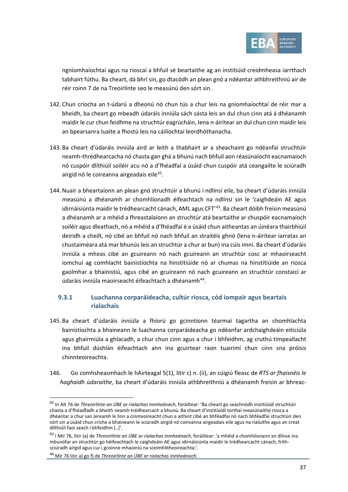

ngníomhaíochtaí agus na rioscaí a bhfuil sé beartaithe ag an institiúid creidmheasa iarrthach tabhairt fúthu. Ba cheart, dá bhrí sin, go dtacódh an plean gnó a ndéantar athbhreithniú air de réir roinn 7 de na Treoirlínte seo le measúnú den sórt sin.

- 142. Chun críocha an t-údarú a dheonú nó chun tús a chur leis na gníomhaíochtaí de réir mar a bheidh, ba cheart go mbeadh údaráis inniúla sách sásta leis an dul chun cinn atá á dhéanamh maidir le cur chun feidhme na struchtúr eagrúcháin, lena n-áirítear an dul chun cinn maidir leis an bpearsanra luaite a fhostú leis na cáilíochtaí leordhóthanacha.
- 143. Ba cheart d'údaráis inniúla aird ar leith a thabhairt ar a sheachaint go ndéanfaí struchtúir neamh-thrédhearcacha nó chasta gan ghá a bhunú nach bhfuil aon réasúnaíocht eacnamaíoch nó cuspóir dlíthiúil soiléir acu nó a d'fhéadfaí a úsáid chun cuspóir atá ceangailte le sciúradh airgid nó le coireanna airgeadais eile<sup>42</sup>.
- 144.Nuair a bheartaíonn an plean gnó struchtúir a bhunú i ndlínsí eile, ba cheart d'údaráis inniúla measúnú a dhéanamh ar chomhlíonadh éifeachtach na ndlínsí sin le 'caighdeáin AE agus idirnáisiúnta maidir le trédhearcacht cánach, AML agus CFT<sup>/[43](#page-36-1)</sup>. Ba cheart dóibh freisin measúnú a dhéanamh ar a mhéid a fhreastalaíonn an struchtúr atá beartaithe ar chuspóir eacnamaíoch soiléir agus dleathach, nó a mhéid a d'fhéadfaí é a úsáid chun aitheantas an úinéara thairbhiúil deiridh a cheilt, nó cibé an bhfuil nó nach bhfuil an straitéis ghnó (lena n-áirítear iarratas an chustaiméara atá mar bhunús leis an struchtúr a chur ar bun) ina cúis imní. Ba cheart d'údaráis inniúla a mheas cibé an gcuireann nó nach gcuireann an struchtúr cosc ar mhaoirseacht iomchuí ag comhlacht bainistíochta na hinstitiúide nó ar chumas na hinstitiúide an riosca gaolmhar a bhainistiú, agus cibé an gcuireann nó nach gcuireann an struchtúr constaicí ar údaráis inniúla maoirseacht éifeachtach a dhéanamh<sup>44</sup>.

#### **9.3.1 Luachanna corparáideacha, cultúr riosca, cód iompair agus beartais rialachais**

- 145. Ba cheart d'údaráis inniúla a fhíorú go gcinntíonn téarmaí tagartha an chomhlachta bainistíochta a bhaineann le luachanna corparáideacha go ndéanfar ardchaighdeáin eiticiúla agus ghairmiúla a ghlacadh, a chur chun cinn agus a chur i bhfeidhm, ag cruthú timpeallacht ina bhfuil dúshlán éifeachtach ann ina gcuirtear raon tuairimí chun cinn sna próisis chinnteoireachta.
- 146. Go comhsheasmhach le hAirteagal 5(1), litir c) n. (ii), an cúigiú fleasc de *RTS ar fhaisnéis le haghaidh údaraithe*, ba cheart d'údaráis inniúla athbhreithniú a dhéanamh freisin ar bhreac-

<span id="page-36-0"></span><sup>42</sup> In Alt 76 de *Threoirlínte an ÚBE ar rialachas inmheánach*, foráiltear: 'Ba cheart go seachnódh institiúidí struchtúir chasta a d'fhéadfadh a bheith neamh-trédhearcach a bhunú. Ba cheart d'institiúidí torthaí measúnaithe riosca a dhéantar a chur san áireamh le linn a cinnteoireacht chun a aithint cibé an bhféadfaí nó nach bhféadfaí struchtúir den sórt sin a úsáid chun críche a bhaineann le sciúradh airgid nó coireanna airgeadais eile agus na rialuithe agus an creat dlíthiúil faoi seach i bhfeidhm [..]'.

<span id="page-36-1"></span><sup>43</sup> I Mír 76, litir (a) de *Threoirlínte an ÚBE ar rialachas inmheánach*, foráiltear: 'a mhéid a chomhlíonann an dlínse ina mbunófar an struchtúr go héifeachtach le caighdeáin AE agus idirnáisiúnta maidir le trédhearcacht cánach, frithsciúradh airgid agus cur i gcoinne mhaoiniú na sceimhlitheoireachta;'.

<span id="page-36-2"></span><sup>44</sup> Mír 76 litir a) go f) de *Threoirlínte an ÚBE ar rialachas inmheánach*.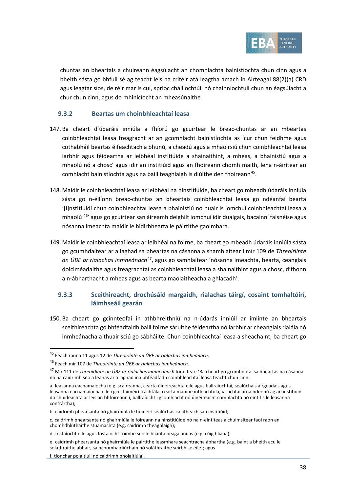

chuntas an bheartais a chuireann éagsúlacht an chomhlachta bainistíochta chun cinn agus a bheith sásta go bhfuil sé ag teacht leis na critéir atá leagtha amach in Airteagal 88(2)(a) CRD agus leagtar síos, de réir mar is cuí, sprioc cháilíochtúil nó chainníochtúil chun an éagsúlacht a chur chun cinn, agus do mhinicíocht an mheasúnaithe.

#### **9.3.2 Beartas um choinbhleachtaí leasa**

- 147. Ba cheart d'údaráis inniúla a fhíorú go gcuirtear le breac-chuntas ar an mbeartas coinbhleachtaí leasa freagracht ar an gcomhlacht bainistíochta as 'cur chun feidhme agus cothabháil beartas éifeachtach a bhunú, a cheadú agus a mhaoirsiú chun coinbhleachtaí leasa iarbhír agus féideartha ar leibhéal institiúide a shainaithint, a mheas, a bhainistiú agus a mhaolú nó a chosc' agus idir an institiúid agus an fhoireann chomh maith, lena n-áirítear an comhlacht bainistíochta agus na baill teaghlaigh is dlúithe den fhoireann<sup>45</sup>.
- 148. Maidir le coinbhleachtaí leasa ar leibhéal na hinstitiúide, ba cheart go mbeadh údaráis inniúla sásta go n-éilíonn breac-chuntas an bheartais coinbhleachtaí leasa go ndéanfaí bearta '[i]nstitiúidí chun coinbhleachtaí leasa a bhainistiú nó nuair is iomchuí coinbhleachtaí leasa a mhaolú [46](#page-37-1)' agus go gcuirtear san áireamh deighilt iomchuí idir dualgais, bacainní faisnéise agus nósanna imeachta maidir le hidirbhearta le páirtithe gaolmhara.
- 149. Maidir le coinbhleachtaí leasa ar leibhéal na foirne, ba cheart go mbeadh údaráis inniúla sásta go gcumhdaítear ar a laghad sa bheartas na cásanna a shamhlaítear i mír 109 de *Threoirlínte an ÚBE ar rialachas inmheánach*[47,](#page-37-2) agus go samhlaítear 'nósanna imeachta, bearta, ceanglais doiciméadaithe agus freagrachtaí as coinbhleachtaí leasa a shainaithint agus a chosc, d'fhonn a n-ábharthacht a mheas agus as bearta maolaitheacha a ghlacadh'.

#### **9.3.3 Sceithireacht, drochúsáid margaidh, rialachas táirgí, cosaint tomhaltóirí, láimhseáil gearán**

150. Ba cheart go gcinnteofaí in athbhreithniú na n-údarás inniúil ar imlínte an bheartais sceithireachta go bhféadfaidh baill foirne sáruithe féideartha nó iarbhír ar cheanglais rialála nó inmheánacha a thuairisciú go sábháilte. Chun coinbhleachtaí leasa a sheachaint, ba cheart go

<span id="page-37-0"></span><sup>45</sup> Féach ranna 11 agus 12 de *Threoirlínte an ÚBE ar rialachas inmheánach*.

<span id="page-37-1"></span><sup>46</sup> Féach mír 107 de *Threoirlínte an ÚBE ar rialachas inmheánach*.

<span id="page-37-2"></span><sup>47</sup> Mír 111 de *Threoirlínte an ÚBE ar rialachas inmheánach* foráiltear: 'Ba cheart go gcumhdófaí sa bheartas na cásanna nó na caidrimh seo a leanas ar a laghad ina bhféadfadh coinbhleachtaí leasa teacht chun cinn:

a. leasanna eacnamaíocha (e.g. scaireanna, cearta úinéireachta eile agus ballraíochtaí, sealúchais airgeadais agus leasanna eacnamaíocha eile i gcustaiméirí tráchtála, cearta maoine intleachtúla, iasachtaí arna ndeonú ag an institiúid do chuideachta ar leis an bhfoireann í, ballraíocht i gcomhlacht nó úinéireacht comhlachta nó eintitis le leasanna contrártha);

b. caidrimh phearsanta nó ghairmiúla le húinéirí sealúchas cáilitheach san institiúid;

c. caidrimh phearsanta nó ghairmiúla le foireann na hinstitiúide nó na n-eintiteas a chuimsítear faoi raon an chomhdhlúthaithe stuamachta (e.g. caidrimh theaghlaigh);

d. fostaíocht eile agus fostaíocht roimhe seo le blianta beaga anuas (e.g. cúig bliana);

e. caidrimh phearsanta nó ghairmiúla le páirtithe leasmhara seachtracha ábhartha (e.g. baint a bheith acu le soláthraithe ábhair, sainchomhairliúcháin nó soláthraithe seirbhíse eile); agus

f. tionchar polaitiúil nó caidrimh pholaitiúla'.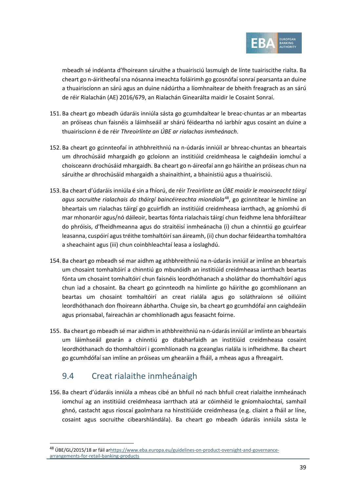

mbeadh sé indéanta d'fhoireann sáruithe a thuairisciú lasmuigh de línte tuairiscithe rialta. Ba cheart go n-áiritheofaí sna nósanna imeachta foláirimh go gcosnófaí sonraí pearsanta an duine a thuairiscíonn an sárú agus an duine nádúrtha a líomhnaítear de bheith freagrach as an sárú de réir Rialachán (AE) 2016/679, an Rialachán Ginearálta maidir le Cosaint Sonraí.

- 151. Ba cheart go mbeadh údaráis inniúla sásta go gcumhdaítear le breac-chuntas ar an mbeartas an próiseas chun faisnéis a láimhseáil ar shárú féideartha nó iarbhír agus cosaint an duine a thuairiscíonn é de réir *Threoirlínte an ÚBE ar rialachas inmheánach*.
- 152. Ba cheart go gcinnteofaí in athbhreithniú na n-údarás inniúil ar bhreac-chuntas an bheartais um dhrochúsáid mhargaidh go gcloíonn an institiúid creidmheasa le caighdeáin iomchuí a choisceann drochúsáid mhargaidh. Ba cheart go n-áireofaí ann go háirithe an próiseas chun na sáruithe ar dhrochúsáid mhargaidh a shainaithint, a bhainistiú agus a thuairisciú.
- 153. Ba cheart d'údaráis inniúla é sin a fhíorú, de réir *Treoirlínte an ÚBE maidir le maoirseacht táirgí agus socruithe rialachais do tháirgí baincéireachta miondíola*[48,](#page-38-1) go gcinntítear le himlíne an bheartais um rialachas táirgí go gcuirfidh an institiúid creidmheasa iarrthach, ag gníomhú di mar mhonaróir agus/nó dáileoir, beartas fónta rialachais táirgí chun feidhme lena bhforáiltear do phróisis, d'fheidhmeanna agus do straitéisí inmheánacha (i) chun a chinntiú go gcuirfear leasanna, cuspóirí agus tréithe tomhaltóirí san áireamh, (ii) chun dochar féideartha tomhaltóra a sheachaint agus (iii) chun coinbhleachtaí leasa a íoslaghdú.
- 154. Ba cheart go mbeadh sé mar aidhm ag athbhreithniú na n-údarás inniúil ar imlíne an bheartais um chosaint tomhaltóirí a chinntiú go mbunóidh an institiúid creidmheasa iarrthach beartas fónta um chosaint tomhaltóirí chun faisnéis leordhóthanach a sholáthar do thomhaltóirí agus chun iad a chosaint. Ba cheart go gcinnteodh na himlínte go háirithe go gcomhlíonann an beartas um chosaint tomhaltóirí an creat rialála agus go soláthraíonn sé oiliúint leordhóthanach don fhoireann ábhartha. Chuige sin, ba cheart go gcumhdófaí ann caighdeáin agus prionsabal, faireachán ar chomhlíonadh agus feasacht foirne.
- 155. Ba cheart go mbeadh sé mar aidhm in athbhreithniú na n-údarás inniúil ar imlínte an bheartais um láimhseáil gearán a chinntiú go dtabharfaidh an institiúid creidmheasa cosaint leordhóthanach do thomhaltóirí i gcomhlíonadh na gceanglas rialála is infheidhme. Ba cheart go gcumhdófaí san imlíne an próiseas um ghearáin a fháil, a mheas agus a fhreagairt.

## <span id="page-38-0"></span>9.4 Creat rialaithe inmheánaigh

156. Ba cheart d'údaráis inniúla a mheas cibé an bhfuil nó nach bhfuil creat rialaithe inmheánach iomchuí ag an institiúid creidmheasa iarrthach atá ar cóimhéid le gníomhaíochtaí, samhail ghnó, castacht agus rioscaí gaolmhara na hinstitiúide creidmheasa (e.g. cliaint a fháil ar líne, cosaint agus socruithe cibearshlándála). Ba cheart go mbeadh údaráis inniúla sásta le

<span id="page-38-1"></span><sup>48</sup> ÚBE/GL/2015/18 ar fáil a[rhttps://www.eba.europa.eu/guidelines-on-product-oversight-and-governance](https://www.eba.europa.eu/guidelines-on-product-oversight-and-governance-arrangements-for-retail-banking-products)[arrangements-for-retail-banking-products](https://www.eba.europa.eu/guidelines-on-product-oversight-and-governance-arrangements-for-retail-banking-products)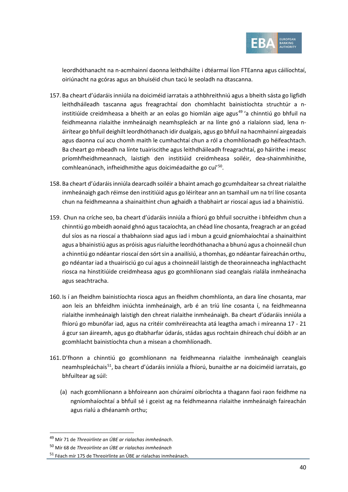

leordhóthanacht na n-acmhainní daonna leithdháilte i dtéarmaí líon FTEanna agus cáilíochtaí, oiriúnacht na gcóras agus an bhuiséid chun tacú le seoladh na dtascanna.

- 157. Ba cheart d'údaráis inniúla na doiciméid iarratais a athbhreithniú agus a bheith sásta go ligfidh leithdháileadh tascanna agus freagrachtaí don chomhlacht bainistíochta struchtúr a n-institiúide creidmheasa a bheith ar an eolas go hiomlán aige agus<sup>[49](#page-39-0)</sup> 'a chinntiú go bhfuil na feidhmeanna rialaithe inmheánaigh neamhspleách ar na línte gnó a rialaíonn siad, lena náirítear go bhfuil deighilt leordhóthanach idir dualgais, agus go bhfuil na hacmhainní airgeadais agus daonna cuí acu chomh maith le cumhachtaí chun a ról a chomhlíonadh go héifeachtach. Ba cheart go mbeadh na línte tuairiscithe agus leithdháileadh freagrachtaí, go háirithe i measc príomhfheidhmeannach, laistigh den institiúid creidmheasa soiléir, dea-shainmhínithe, comhleanúnach, infheidhmithe agus doiciméadaithe go cuí'[50](#page-39-1).
- 158. Ba cheart d'údaráis inniúla dearcadh soiléir a bhaint amach go gcumhdaítear sa chreat rialaithe inmheánaigh gach réimse den institiúid agus go léirítear ann an tsamhail um na trí líne cosanta chun na feidhmeanna a shainaithint chun aghaidh a thabhairt ar rioscaí agus iad a bhainistiú.
- 159. Chun na críche seo, ba cheart d'údaráis inniúla a fhíorú go bhfuil socruithe i bhfeidhm chun a chinntiú go mbeidh aonaid ghnó agus tacaíochta, an chéad líne chosanta, freagrach ar an gcéad dul síos as na rioscaí a thabhaíonn siad agus iad i mbun a gcuid gníomhaíochtaí a shainaithint agus a bhainistiú agus as próisis agus rialuithe leordhóthanacha a bhunú agus a choinneáil chun a chinntiú go ndéantar rioscaí den sórt sin a anailísiú, a thomhas, go ndéantar faireachán orthu, go ndéantar iad a thuairisciú go cuí agus a choinneáil laistigh de theorainneacha inghlacthacht riosca na hinstitiúide creidmheasa agus go gcomhlíonann siad ceanglais rialála inmheánacha agus seachtracha.
- 160. Is í an fheidhm bainistíochta riosca agus an fheidhm chomhlíonta, an dara líne chosanta, mar aon leis an bhfeidhm iniúchta inmheánaigh, arb é an tríú líne cosanta í, na feidhmeanna rialaithe inmheánaigh laistigh den chreat rialaithe inmheánaigh. Ba cheart d'údaráis inniúla a fhíorú go mbunófar iad, agus na critéir comhréireachta atá leagtha amach i míreanna [17](#page-5-2) - [21](#page-6-4) á gcur san áireamh, agus go dtabharfar údarás, stádas agus rochtain dhíreach chuí dóibh ar an gcomhlacht bainistíochta chun a misean a chomhlíonadh.
- 161. D'fhonn a chinntiú go gcomhlíonann na feidhmeanna rialaithe inmheánaigh ceanglais neamhspleáchais<sup>51</sup>, ba cheart d'údaráis inniúla a fhíorú, bunaithe ar na doiciméid iarratais, go bhfuiltear ag súil:
	- (a) nach gcomhlíonann a bhfoireann aon chúraimí oibríochta a thagann faoi raon feidhme na ngníomhaíochtaí a bhfuil sé i gceist ag na feidhmeanna rialaithe inmheánaigh faireachán agus rialú a dhéanamh orthu;

<span id="page-39-0"></span><sup>49</sup> Mír 71 de *Threoirlínte an ÚBE ar rialachas inmheánach*.

<span id="page-39-1"></span><sup>50</sup> Mír 68 de *Threoirlínte an ÚBE ar rialachas inmheánach*

<span id="page-39-2"></span><sup>51</sup> Féach mír 175 de Threoirlínte an ÚBE ar rialachas inmheánach.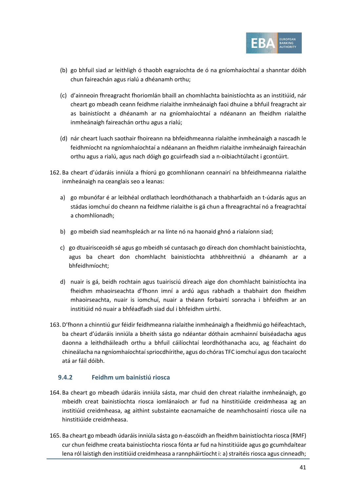

- (b) go bhfuil siad ar leithligh ó thaobh eagraíochta de ó na gníomhaíochtaí a shanntar dóibh chun faireachán agus rialú a dhéanamh orthu;
- (c) d'ainneoin fhreagracht fhoriomlán bhaill an chomhlachta bainistíochta as an institiúid, nár cheart go mbeadh ceann feidhme rialaithe inmheánaigh faoi dhuine a bhfuil freagracht air as bainistíocht a dhéanamh ar na gníomhaíochtaí a ndéanann an fheidhm rialaithe inmheánaigh faireachán orthu agus a rialú;
- (d) nár cheart luach saothair fhoireann na bhfeidhmeanna rialaithe inmheánaigh a nascadh le feidhmíocht na ngníomhaíochtaí a ndéanann an fheidhm rialaithe inmheánaigh faireachán orthu agus a rialú, agus nach dóigh go gcuirfeadh siad a n-oibiachtúlacht i gcontúirt.
- 162. Ba cheart d'údaráis inniúla a fhíorú go gcomhlíonann ceannairí na bhfeidhmeanna rialaithe inmheánaigh na ceanglais seo a leanas:
	- a) go mbunófar é ar leibhéal ordlathach leordhóthanach a thabharfaidh an t-údarás agus an stádas iomchuí do cheann na feidhme rialaithe is gá chun a fhreagrachtaí nó a freagrachtaí a chomhlíonadh;
	- b) go mbeidh siad neamhspleách ar na línte nó na haonaid ghnó a rialaíonn siad;
	- c) go dtuairisceoidh sé agus go mbeidh sé cuntasach go díreach don chomhlacht bainistíochta, agus ba cheart don chomhlacht bainistíochta athbhreithniú a dhéanamh ar a bhfeidhmíocht;
	- d) nuair is gá, beidh rochtain agus tuairisciú díreach aige don chomhlacht bainistíochta ina fheidhm mhaoirseachta d'fhonn imní a ardú agus rabhadh a thabhairt don fheidhm mhaoirseachta, nuair is iomchuí, nuair a théann forbairtí sonracha i bhfeidhm ar an institiúid nó nuair a bhféadfadh siad dul i bhfeidhm uirthi.
- 163. D'fhonn a chinntiú gur féidir feidhmeanna rialaithe inmheánaigh a fheidhmiú go héifeachtach, ba cheart d'údaráis inniúla a bheith sásta go ndéantar dóthain acmhainní buiséadacha agus daonna a leithdháileadh orthu a bhfuil cáilíochtaí leordhóthanacha acu, ag féachaint do chineálacha na ngníomhaíochtaí spriocdhírithe, agus do chóras TFC iomchuí agus don tacaíocht atá ar fáil dóibh.

#### **9.4.2 Feidhm um bainistiú riosca**

- 164. Ba cheart go mbeadh údaráis inniúla sásta, mar chuid den chreat rialaithe inmheánaigh, go mbeidh creat bainistíochta riosca iomlánaíoch ar fud na hinstitiúide creidmheasa ag an institiúid creidmheasa, ag aithint substainte eacnamaíche de neamhchosaintí riosca uile na hinstitiúide creidmheasa.
- 165. Ba cheart go mbeadh údaráis inniúla sásta go n-éascóidh an fheidhm bainistíochta riosca (RMF) cur chun feidhme creata bainistíochta riosca fónta ar fud na hinstitiúide agus go gcumhdaítear lena ról laistigh den institiúid creidmheasa a rannpháirtíocht i: a) straitéis riosca agus cinneadh;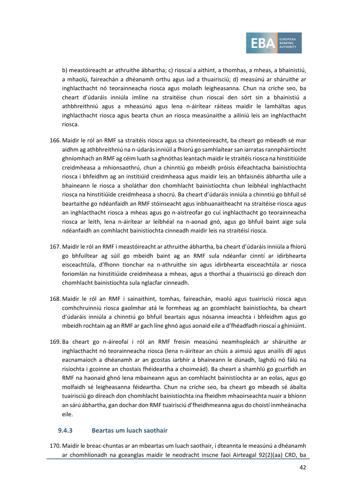

b) meastóireacht ar athruithe ábhartha; c) rioscaí a aithint, a thomhas, a mheas, a bhainistiú, a mhaolú, faireachán a dhéanamh orthu agus iad a thuairisciú; d) measúnú ar sháruithe ar inghlacthacht nó teorainneacha riosca agus moladh leigheasanna. Chun na críche seo, ba cheart d'údaráis inniúla imlíne na straitéise chun rioscaí den sórt sin a bhainistiú a athbhreithniú agus a mheasúnú agus lena n-áirítear ráiteas maidir le lamháltas agus inghlacthacht riosca agus bearta chun an riosca measúnaithe a ailíniú leis an inghlacthacht riosca.

- 166. Maidir le ról an RMF sa straitéis riosca agus sa chinnteoireacht, ba cheart go mbeadh sé mar aidhm ag athbhreithniú na n-údarás inniúil a fhíorú go samhlaítear san iarratas rannpháirtíocht ghníomhach an RMF ag céim luath sa ghnóthas leantach maidir le straitéis riosca na hinstitiúide creidmheasa a mhionsaothrú, chun a chinntiú go mbeidh próisis éifeachtacha bainistíochta riosca i bhfeidhm ag an institiúid creidmheasa agus maidir leis an bhfaisnéis ábhartha uile a bhaineann le riosca a sholáthar don chomhlacht bainistíochta chun leibhéal inghlacthacht riosca na hinstitiúide creidmheasa a shocrú. Ba cheart d'údaráis inniúla a chinntiú go bhfuil sé beartaithe go ndéanfaidh an RMF stóinseacht agus inbhuanaitheacht na straitéise riosca agus an inghlacthacht riosca a mheas agus go n-aistreofar go cuí inghlacthacht go teorainneacha riosca ar leith, lena n-áirítear ar leibhéal na n-aonad gnó, agus go bhfuil baint aige sula ndéanfaidh an comhlacht bainistíochta cinneadh maidir leis na straitéisí riosca.
- 167. Maidir le ról an RMF i meastóireacht ar athruithe ábhartha, ba cheart d'údaráis inniúla a fhíorú go bhfuiltear ag súil go mbeidh baint ag an RMF sula ndéanfar cinntí ar idirbhearta eisceachtúla, d'fhonn tionchar na n-athruithe sin agus idirbhearta eisceachtúla ar riosca foriomlán na hinstitiúide creidmheasa a mheas, agus a thorthaí a thuairisciú go díreach don chomhlacht bainistíochta sula nglacfar cinneadh.
- 168. Maidir le ról an RMF i sainaithint, tomhas, faireachán, maolú agus tuairisciú riosca agus comhchruinniú riosca gaolmhar atá le formheas ag an gcomhlacht bainistíochta, ba cheart d'údaráis inniúla a chinntiú go bhfuil beartais agus nósanna imeachta i bhfeidhm agus go mbeidh rochtain ag an RMF ar gach líne ghnó agus aonaid eile a d'fhéadfadh rioscaí a ghiniúint.
- 169. Ba cheart go n-áireofaí i ról an RMF freisin measúnú neamhspleách ar sháruithe ar inghlacthacht nó teorainneacha riosca (lena n-áirítear an chúis a aimsiú agus anailís dlí agus eacnamaíoch a dhéanamh ar an gcostas iarbhír a bhaineann le dúnadh, laghdú nó fálú na risíochta i gcoinne an chostais fhéideartha a choimeád). Ba cheart a shamhlú go gcuirfidh an RMF na haonaid ghnó lena mbaineann agus an comhlacht bainistíochta ar an eolas, agus go molfaidh sé leigheasanna féideartha. Chun na críche seo, ba cheart go mbeadh sé ábalta tuairisciú go díreach don chomhlacht bainistíochta ina fheidhm mhaoirseachta nuair a bhíonn an sárú ábhartha, gan dochar don RMF tuairisciú d'fheidhmeanna agus do choistí inmheánacha eile.

#### **9.4.3 Beartas um luach saothair**

<span id="page-41-0"></span>170. Maidir le breac-chuntas ar an mbeartas um luach saothair, i dteannta le measúnú a dhéanamh ar chomhlíonadh na gceanglas maidir le neodracht inscne faoi Airteagal 92(2)(aa) CRD, ba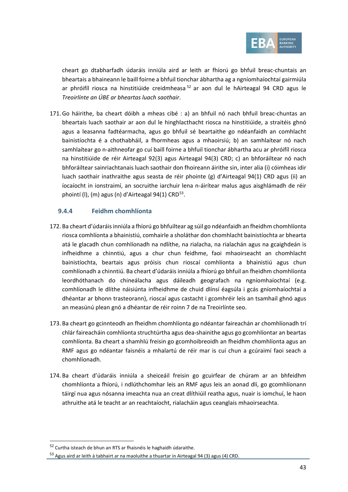

cheart go dtabharfadh údaráis inniúla aird ar leith ar fhíorú go bhfuil breac-chuntais an bheartais a bhaineann le baill foirne a bhfuil tionchar ábhartha ag a ngníomhaíochtaí gairmiúla ar phróifíl riosca na hinstitiúide creidmheasa<sup>[52](#page-42-1)</sup> ar aon dul le hAirteagal 94 CRD agus le *Treoirlínte an ÚBE ar bheartas luach saothair*.

<span id="page-42-0"></span>171. Go háirithe, ba cheart dóibh a mheas cibé : a) an bhfuil nó nach bhfuil breac-chuntas an bheartais luach saothair ar aon dul le hinghlacthacht riosca na hinstitiúide, a straitéis ghnó agus a leasanna fadtéarmacha, agus go bhfuil sé beartaithe go ndéanfaidh an comhlacht bainistíochta é a chothabháil, a fhormheas agus a mhaoirsiú; b) an samhlaítear nó nach samhlaítear go n-aithneofar go cuí baill foirne a bhfuil tionchar ábhartha acu ar phróifíl riosca na hinstitiúide de réir Airteagal 92(3) agus Airteagal 94(3) CRD; c) an bhforáiltear nó nach bhforáiltear sainriachtanais luach saothair don fhoireann áirithe sin, inter alia (i) cóimheas idir luach saothair inathraithe agus seasta de réir phointe (g) d'Airteagal 94(1) CRD agus (ii) an íocaíocht in ionstraimí, an socruithe iarchuir lena n-áirítear malus agus aisghlámadh de réir phointí (I),  $(m)$  agus  $(n)$  d'Airteagal 94(1) CRD<sup>[53](#page-42-2)</sup>.

#### **9.4.4 Feidhm chomhlíonta**

- 172. Ba cheart d'údaráis inniúla a fhíorú go bhfuiltear ag súil go ndéanfaidh an fheidhm chomhlíonta riosca comhlíonta a bhainistiú, comhairle a sholáthar don chomhlacht bainistíochta ar bhearta atá le glacadh chun comhlíonadh na ndlíthe, na rialacha, na rialachán agus na gcaighdeán is infheidhme a chinntiú, agus a chur chun feidhme, faoi mhaoirseacht an chomhlacht bainistíochta, beartais agus próisis chun rioscaí comhlíonta a bhainistiú agus chun comhlíonadh a chinntiú. Ba cheart d'údaráis inniúla a fhíorú go bhfuil an fheidhm chomhlíonta leordhóthanach do chineálacha agus dáileadh geografach na ngníomhaíochtaí (e.g. comhlíonadh le dlíthe náisiúnta infheidhme de chuid dlínsí éagsúla i gcás gníomhaíochtaí a dhéantar ar bhonn trasteorann), rioscaí agus castacht i gcomhréir leis an tsamhail ghnó agus an measúnú plean gnó a dhéantar de réir roinn 7 de na Treoirlínte seo.
- 173. Ba cheart go gcinnteodh an fheidhm chomhlíonta go ndéantar faireachán ar chomhlíonadh trí chlár faireacháin comhlíonta struchtúrtha agus dea-shainithe agus go gcomhlíontar an beartas comhlíonta. Ba cheart a shamhlú freisin go gcomhoibreoidh an fheidhm chomhlíonta agus an RMF agus go ndéantar faisnéis a mhalartú de réir mar is cuí chun a gcúraimí faoi seach a chomhlíonadh.
- 174. Ba cheart d'údaráis inniúla a sheiceáil freisin go gcuirfear de chúram ar an bhfeidhm chomhlíonta a fhíorú, i ndlúthchomhar leis an RMF agus leis an aonad dlí, go gcomhlíonann táirgí nua agus nósanna imeachta nua an creat dlíthiúil reatha agus, nuair is iomchuí, le haon athruithe atá le teacht ar an reachtaíocht, rialacháin agus ceanglais mhaoirseachta.

<span id="page-42-1"></span><sup>52</sup> Curtha isteach de bhun an RTS ar fhaisnéis le haghaidh údaraithe.

<span id="page-42-2"></span><sup>53</sup> Agus aird ar leith á tabhairt ar na maoluithe a thuartar in Airteagal 94 (3) agus (4) CRD.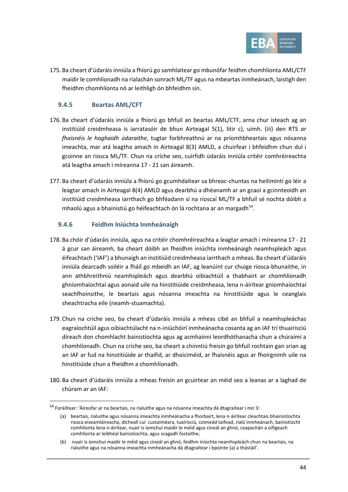

175. Ba cheart d'údaráis inniúla a fhíorú go samhlaítear go mbunófar feidhm chomhlíonta AML/CTF maidir le comhlíonadh na rialachán sonrach ML/TF agus na mbeartas inmheánach, laistigh den fheidhm chomhlíonta nó ar leithligh ón bhfeidhm sin.

#### **9.4.5 Beartas AML/CFT**

- 176. Ba cheart d'údaráis inniúla a fhíorú go bhfuil an beartas AML/CTF, arna chur isteach ag an institiúid creidmheasa is iarratasóir de bhun Airteagal 5(1), litir c), uimh. (iii) den RTS *ar fhaisnéis le haghaidh údaraithe*, tugtar forbhreathnú ar na príomhbheartais agus nósanna imeachta, mar atá leagtha amach in Airteagal 8(3) AMLD, a chuirfear i bhfeidhm chun dul i gcoinne an riosca ML/TF. Chun na críche seo, cuirfidh údaráis inniúla critéir comhréireachta atá leagtha amach i míreanna [17](#page-5-2) - [21](#page-6-4) san áireamh.
- 177. Ba cheart d'údaráis inniúla a fhíorú go gcumhdaítear sa bhreac-chuntas na heilimintí go léir a leagtar amach in Airteagal 8(4) AMLD agus dearbhú a dhéanamh ar an gcaoi a gcinnteoidh an institiúid creidmheasa iarrthach go bhféadann sí na rioscaí ML/TF a bhfuil sé nochta dóibh a mhaolú agus a bhainistiú go héifeachtach ón lá rochtana ar an margadh<sup>[54](#page-43-0)</sup>.

#### **9.4.6 Feidhm Iniúchta Inmheánaigh**

- 178. Ba chóir d'údaráis inniúla, agus na critéir chomhréireachta a leagtar amach i míreanna [17](#page-5-2) [21](#page-6-4) á gcur san áireamh, ba cheart dóibh an fheidhm iniúchta inmheánaigh neamhspleách agus éifeachtach ('IAF') a bhunaigh an institiúid creidmheasa iarrthach a mheas. Ba cheart d'údaráis inniúla dearcadh soiléir a fháil go mbeidh an IAF, ag leanúint cur chuige riosca-bhunaithe, in ann athbhreithniú neamhspleách agus dearbhú oibiachtúil a thabhairt ar chomhlíonadh ghníomhaíochtaí agus aonaid uile na hinstitiúide creidmheasa, lena n-áirítear gníomhaíochtaí seachfhoinsithe, le beartais agus nósanna imeachta na hinstitiúide agus le ceanglais sheachtracha eile (neamh-stuamachta).
- 179. Chun na críche seo, ba cheart d'údaráis inniúla a mheas cibé an bhfuil a neamhspleáchas eagraíochtúil agus oibiachtúlacht na n-iniúchóirí inmheánacha cosanta ag an IAF trí thuairisciú díreach don chomhlacht bainistíochta agus ag acmhainní leordhóthanacha chun a chúraimí a chomhlíonadh. Chun na críche seo, ba cheart a chinntiú freisin go bhfuil rochtain gan srian ag an IAF ar fud na hinstitiúide ar thaifid, ar dhoiciméid, ar fhaisnéis agus ar fhoirgnimh uile na hinstitiúide chun a fheidhm a chomhlíonadh.
- 180. Ba cheart d'údaráis inniúla a mheas freisin an gcuirtear an méid seo a leanas ar a laghad de chúram ar an IAF:

<span id="page-43-0"></span><sup>54</sup> Foráiltear: 'Áireofar ar na beartais, na rialuithe agus na nósanna imeachta dá dtagraítear i mír 3:

<sup>(</sup>a) beartais, rialuithe agus nósanna imeachta inmheánacha a fhorbairt, lena n-áirítear cleachtais bhainistíochta riosca eiseamláireacha, dícheall cuí custaiméara, tuairisciú, coimeád taifead, rialú inmheánach, bainistíocht comhlíonta lena n-áirítear, nuair is iomchuí maidir le méid agus cineál an ghnó, ceapachán a oifigeach comhlíonta ar leibhéal bainistíochta, agus scagadh fostaithe;

<sup>(</sup>b) nuair is iomchuí maidir le méid agus cineál an ghnó, feidhm iniúchta neamhspleách chun na beartais, na rialuithe agus na nósanna imeachta inmheánacha dá dtagraítear i bpointe (a) a thástáil'.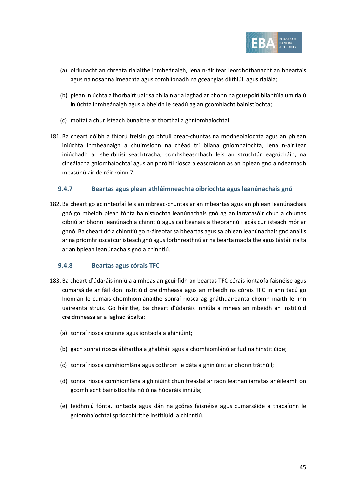

- (a) oiriúnacht an chreata rialaithe inmheánaigh, lena n-áirítear leordhóthanacht an bheartais agus na nósanna imeachta agus comhlíonadh na gceanglas dlíthiúil agus rialála;
- (b) plean iniúchta a fhorbairt uair sa bhliain ar a laghad ar bhonn na gcuspóirí bliantúla um rialú iniúchta inmheánaigh agus a bheidh le ceadú ag an gcomhlacht bainistíochta;
- (c) moltaí a chur isteach bunaithe ar thorthaí a ghníomhaíochtaí.
- 181. Ba cheart dóibh a fhíorú freisin go bhfuil breac-chuntas na modheolaíochta agus an phlean iniúchta inmheánaigh a chuimsíonn na chéad trí bliana gníomhaíochta, lena n-áirítear iniúchadh ar sheirbhísí seachtracha, comhsheasmhach leis an struchtúr eagrúcháin, na cineálacha gníomhaíochtaí agus an phróifíl riosca a eascraíonn as an bplean gnó a ndearnadh measúnú air de réir roinn 7.

#### **9.4.7 Beartas agus plean athléimneachta oibríochta agus leanúnachais gnó**

182. Ba cheart go gcinnteofaí leis an mbreac-chuntas ar an mbeartas agus an phlean leanúnachais gnó go mbeidh plean fónta bainistíochta leanúnachais gnó ag an iarratasóir chun a chumas oibriú ar bhonn leanúnach a chinntiú agus caillteanais a theorannú i gcás cur isteach mór ar ghnó. Ba cheart dó a chinntiú go n-áireofar sa bheartas agus sa phlean leanúnachais gnó anailís ar na príomhrioscaí cur isteach gnó agus forbhreathnú ar na bearta maolaithe agus tástáil rialta ar an bplean leanúnachais gnó a chinntiú.

#### **9.4.8 Beartas agus córais TFC**

- 183. Ba cheart d'údaráis inniúla a mheas an gcuirfidh an beartas TFC córais iontaofa faisnéise agus cumarsáide ar fáil don institiúid creidmheasa agus an mbeidh na córais TFC in ann tacú go hiomlán le cumais chomhiomlánaithe sonraí riosca ag gnáthuaireanta chomh maith le linn uaireanta struis. Go háirithe, ba cheart d'údaráis inniúla a mheas an mbeidh an institiúid creidmheasa ar a laghad ábalta:
	- (a) sonraí riosca cruinne agus iontaofa a ghiniúint;
	- (b) gach sonraí riosca ábhartha a ghabháil agus a chomhiomlánú ar fud na hinstitiúide;
	- (c) sonraí riosca comhiomlána agus cothrom le dáta a ghiniúint ar bhonn tráthúil;
	- (d) sonraí riosca comhiomlána a ghiniúint chun freastal ar raon leathan iarratas ar éileamh ón gcomhlacht bainistíochta nó ó na húdaráis inniúla;
	- (e) feidhmiú fónta, iontaofa agus slán na gcóras faisnéise agus cumarsáide a thacaíonn le gníomhaíochtaí spriocdhírithe institiúidí a chinntiú.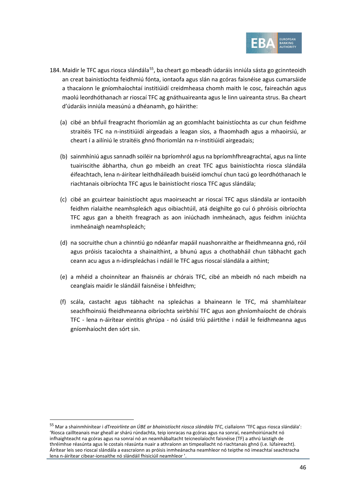

- 184. Maidir le TFC agus riosca slándála<sup>55</sup>, ba cheart go mbeadh údaráis inniúla sásta go gcinnteoidh an creat bainistíochta feidhmiú fónta, iontaofa agus slán na gcóras faisnéise agus cumarsáide a thacaíonn le gníomhaíochtaí institiúidí creidmheasa chomh maith le cosc, faireachán agus maolú leordhóthanach ar rioscaí TFC ag gnáthuaireanta agus le linn uaireanta strus. Ba cheart d'údaráis inniúla measúnú a dhéanamh, go háirithe:
	- (a) cibé an bhfuil freagracht fhoriomlán ag an gcomhlacht bainistíochta as cur chun feidhme straitéis TFC na n-institiúidí airgeadais a leagan síos, a fhaomhadh agus a mhaoirsiú, ar cheart í a ailíniú le straitéis ghnó fhoriomlán na n-institiúidí airgeadais;
	- (b) sainmhíniú agus sannadh soiléir na bpríomhról agus na bpríomhfhreagrachtaí, agus na línte tuairiscithe ábhartha, chun go mbeidh an creat TFC agus bainistíochta riosca slándála éifeachtach, lena n-áirítear leithdháileadh buiséid iomchuí chun tacú go leordhóthanach le riachtanais oibríochta TFC agus le bainistíocht riosca TFC agus slándála;
	- (c) cibé an gcuirtear bainistíocht agus maoirseacht ar rioscaí TFC agus slándála ar iontaoibh feidhm rialaithe neamhspleách agus oibiachtúil, atá deighilte go cuí ó phróisis oibríochta TFC agus gan a bheith freagrach as aon iniúchadh inmheánach, agus feidhm iniúchta inmheánaigh neamhspleách;
	- (d) na socruithe chun a chinntiú go ndéanfar mapáil nuashonraithe ar fheidhmeanna gnó, róil agus próisis tacaíochta a shainaithint, a bhunú agus a chothabháil chun tábhacht gach ceann acu agus a n-idirspleáchas i ndáil le TFC agus rioscaí slándála a aithint;
	- (e) a mhéid a choinnítear an fhaisnéis ar chórais TFC, cibé an mbeidh nó nach mbeidh na ceanglais maidir le slándáil faisnéise i bhfeidhm;
	- (f) scála, castacht agus tábhacht na spleáchas a bhaineann le TFC, má shamhlaítear seachfhoinsiú fheidhmeanna oibríochta seirbhísí TFC agus aon ghníomhaíocht de chórais TFC - lena n-áirítear eintitis ghrúpa - nó úsáid tríú páirtithe i ndáil le feidhmeanna agus gníomhaíocht den sórt sin.

<span id="page-45-0"></span><sup>55</sup> Mar a shainmhínítear i *dTreoirlínte an ÚBE ar bhainistíocht riosca slándála TFC*, ciallaíonn 'TFC agus riosca slándála': 'Riosca caillteanais mar gheall ar shárú rúndachta, teip ionracas na gcóras agus na sonraí, neamhoiriúnacht nó infhaighteacht na gcóras agus na sonraí nó an neamhábaltacht teicneolaíocht faisnéise (TF) a athrú laistigh de thréimhse réasúnta agus le costais réasúnta nuair a athraíonn an timpeallacht nó riachtanais ghnó (i.e. lúfaireacht). Áirítear leis seo rioscaí slándála a eascraíonn as próisis inmheánacha neamhleor nó teipthe nó imeachtaí seachtracha lena n-áirítear cibear-ionsaithe nó slándáil fhisiciúil neamhleor '.